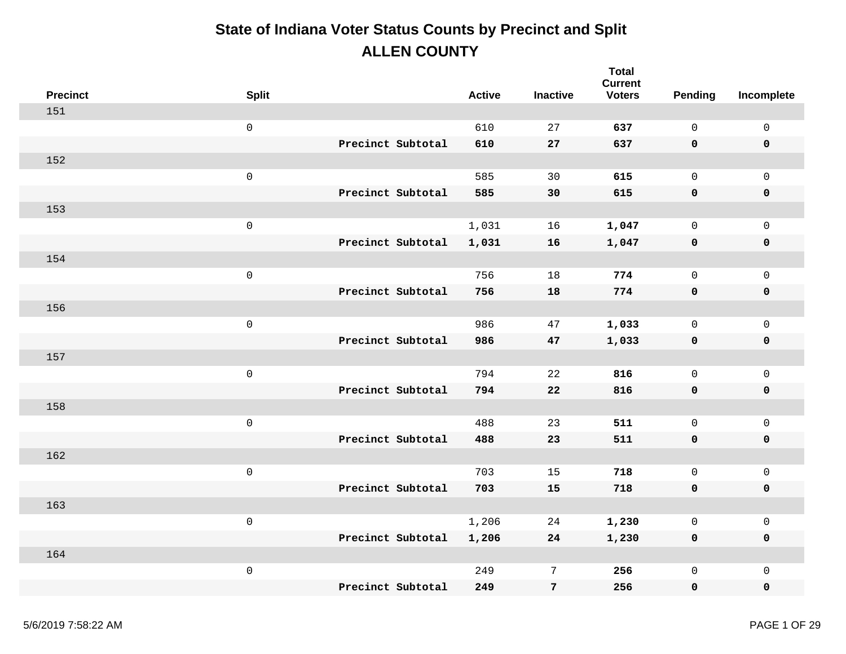| <b>Precinct</b> | <b>Split</b>        |                   | <b>Active</b> | <b>Inactive</b> | <b>Total</b><br><b>Current</b><br><b>Voters</b> | Pending      | Incomplete          |
|-----------------|---------------------|-------------------|---------------|-----------------|-------------------------------------------------|--------------|---------------------|
| 151             |                     |                   |               |                 |                                                 |              |                     |
|                 | $\mathsf 0$         |                   | 610           | 27              | 637                                             | $\mathbf 0$  | $\mathsf{O}\xspace$ |
|                 |                     | Precinct Subtotal | 610           | 27              | 637                                             | 0            | $\pmb{0}$           |
| 152             |                     |                   |               |                 |                                                 |              |                     |
|                 | $\mathsf{O}\xspace$ |                   | 585           | 30              | 615                                             | $\mathsf{O}$ | $\mathbf 0$         |
|                 |                     | Precinct Subtotal | 585           | 30              | 615                                             | 0            | $\pmb{0}$           |
| 153             |                     |                   |               |                 |                                                 |              |                     |
|                 | $\mathsf 0$         |                   | 1,031         | 16              | 1,047                                           | $\mathsf{O}$ | $\mathsf{O}\xspace$ |
|                 |                     | Precinct Subtotal | 1,031         | 16              | 1,047                                           | 0            | $\pmb{0}$           |
| 154             |                     |                   |               |                 |                                                 |              |                     |
|                 | $\mathsf{O}\xspace$ |                   | 756           | 18              | 774                                             | $\mathsf{O}$ | $\mathbf 0$         |
|                 |                     | Precinct Subtotal | 756           | 18              | 774                                             | $\mathbf 0$  | $\pmb{0}$           |
| 156             |                     |                   |               |                 |                                                 |              |                     |
|                 | $\mathsf 0$         |                   | 986           | 47              | 1,033                                           | $\mathsf{O}$ | $\mathsf{O}\xspace$ |
|                 |                     | Precinct Subtotal | 986           | 47              | 1,033                                           | 0            | $\pmb{0}$           |
| 157             |                     |                   |               |                 |                                                 |              |                     |
|                 | $\mathsf 0$         |                   | 794           | 22              | 816                                             | $\mathsf{O}$ | $\mathsf{O}\xspace$ |
|                 |                     | Precinct Subtotal | 794           | 22              | 816                                             | 0            | $\pmb{0}$           |
| 158             |                     |                   |               |                 |                                                 |              |                     |
|                 | $\mathsf 0$         |                   | 488           | 23              | 511                                             | $\mathsf{O}$ | $\mathsf{O}\xspace$ |
|                 |                     | Precinct Subtotal | 488           | 23              | 511                                             | 0            | $\pmb{0}$           |
| 162             |                     |                   |               |                 |                                                 |              |                     |
|                 | $\mathsf{O}\xspace$ |                   | 703           | 15              | 718                                             | $\mathsf{O}$ | $\mathsf{O}\xspace$ |
|                 |                     | Precinct Subtotal | 703           | 15              | 718                                             | 0            | $\pmb{0}$           |
| 163             |                     |                   |               |                 |                                                 |              |                     |
|                 | $\mathsf 0$         |                   | 1,206         | 24              | 1,230                                           | $\mathsf{O}$ | $\mathsf{O}\xspace$ |
|                 |                     | Precinct Subtotal | 1,206         | 24              | 1,230                                           | 0            | $\pmb{0}$           |
| 164             |                     |                   |               |                 |                                                 |              |                     |
|                 | $\mathsf 0$         |                   | 249           | $7\phantom{.}$  | 256                                             | 0            | $\mathsf{O}\xspace$ |
|                 |                     | Precinct Subtotal | 249           | $\overline{7}$  | 256                                             | 0            | $\mathbf 0$         |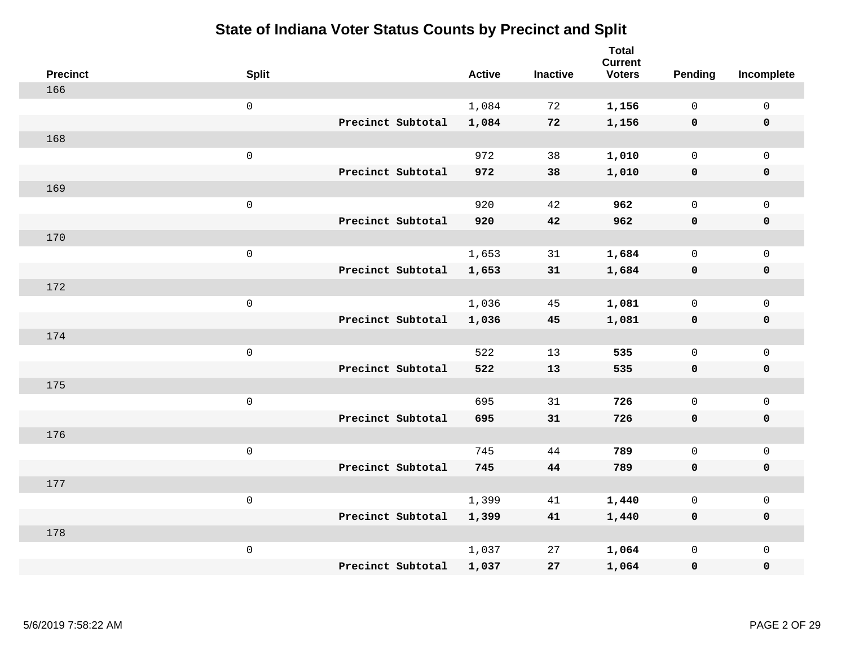| <b>Precinct</b> | <b>Split</b>        | <b>Active</b> | <b>Inactive</b> | <b>Total</b><br><b>Current</b><br><b>Voters</b> | Pending      | Incomplete          |
|-----------------|---------------------|---------------|-----------------|-------------------------------------------------|--------------|---------------------|
| 166             |                     |               |                 |                                                 |              |                     |
|                 | $\mathsf{O}\xspace$ | 1,084         | 72              | 1,156                                           | 0            | $\mathsf 0$         |
|                 | Precinct Subtotal   | 1,084         | 72              | 1,156                                           | $\mathbf 0$  | $\mathbf 0$         |
| 168             |                     |               |                 |                                                 |              |                     |
|                 | $\mathsf 0$         | 972           | 38              | 1,010                                           | $\mathsf{O}$ | $\mathbf 0$         |
|                 | Precinct Subtotal   | 972           | 38              | 1,010                                           | $\mathbf 0$  | $\mathbf 0$         |
| 169             |                     |               |                 |                                                 |              |                     |
|                 | $\mathsf 0$         | 920           | 42              | 962                                             | $\mathbf 0$  | $\mathsf{O}\xspace$ |
|                 | Precinct Subtotal   | 920           | 42              | 962                                             | $\mathbf 0$  | $\mathbf 0$         |
| 170             |                     |               |                 |                                                 |              |                     |
|                 | $\mathsf 0$         | 1,653         | 31              | 1,684                                           | $\mathsf{O}$ | $\mathbf 0$         |
|                 | Precinct Subtotal   | 1,653         | 31              | 1,684                                           | $\mathbf 0$  | $\mathbf 0$         |
| 172             |                     |               |                 |                                                 |              |                     |
|                 | $\mathsf 0$         | 1,036         | 45              | 1,081                                           | $\mathsf{O}$ | $\mathsf{O}\xspace$ |
|                 | Precinct Subtotal   | 1,036         | 45              | 1,081                                           | 0            | $\mathbf 0$         |
| 174             |                     |               |                 |                                                 |              |                     |
|                 | $\mathsf 0$         | 522           | 13              | 535                                             | $\mathbf 0$  | $\mathsf{O}\xspace$ |
|                 | Precinct Subtotal   | 522           | 13              | 535                                             | $\mathbf 0$  | $\mathbf 0$         |
| 175             |                     |               |                 |                                                 |              |                     |
|                 | $\mathbf 0$         | 695           | 31              | 726                                             | $\mathsf{O}$ | $\mathsf 0$         |
|                 | Precinct Subtotal   | 695           | 31              | 726                                             | 0            | 0                   |
| 176             |                     |               |                 |                                                 |              |                     |
|                 | $\mathsf 0$         | 745           | 44              | 789                                             | $\mathbf 0$  | $\mathbf 0$         |
|                 | Precinct Subtotal   | 745           | 44              | 789                                             | $\mathbf 0$  | $\pmb{0}$           |
| 177             |                     |               |                 |                                                 |              |                     |
|                 | $\mathbf 0$         | 1,399         | 41              | 1,440                                           | $\mathbf 0$  | $\mathbf 0$         |
|                 | Precinct Subtotal   | 1,399         | 41              | 1,440                                           | 0            | $\mathbf 0$         |
| 178             |                     |               |                 |                                                 |              |                     |
|                 | $\mathsf 0$         | 1,037         | 27              | 1,064                                           | $\mathbf 0$  | $\mathbf 0$         |
|                 | Precinct Subtotal   | 1,037         | 27              | 1,064                                           | 0            | $\pmb{0}$           |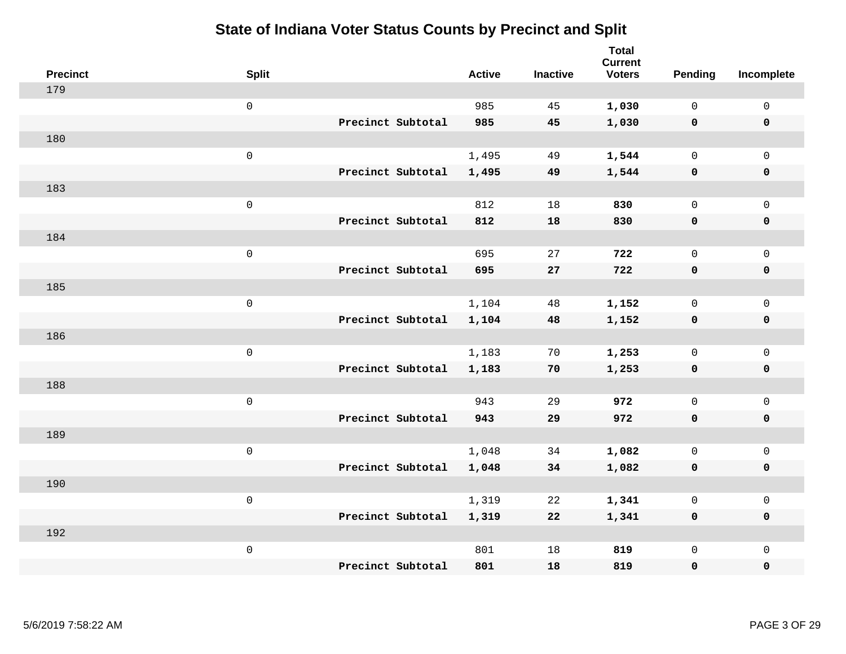| <b>Precinct</b> | <b>Split</b>        |                   | <b>Active</b> | <b>Inactive</b> | <b>Total</b><br><b>Current</b><br><b>Voters</b> | Pending      | Incomplete          |
|-----------------|---------------------|-------------------|---------------|-----------------|-------------------------------------------------|--------------|---------------------|
| 179             |                     |                   |               |                 |                                                 |              |                     |
|                 | $\mathsf{O}$        |                   | 985           | 45              | 1,030                                           | $\mathbf 0$  | $\mathsf{O}$        |
|                 |                     | Precinct Subtotal | 985           | 45              | 1,030                                           | $\mathbf 0$  | $\mathbf 0$         |
| 180             |                     |                   |               |                 |                                                 |              |                     |
|                 | $\mathsf{O}\xspace$ |                   | 1,495         | 49              | 1,544                                           | $\mathbf 0$  | $\mathsf{O}$        |
|                 |                     | Precinct Subtotal | 1,495         | 49              | 1,544                                           | 0            | 0                   |
| 183             |                     |                   |               |                 |                                                 |              |                     |
|                 | $\mathsf{O}\xspace$ |                   | 812           | 18              | 830                                             | $\mathbf 0$  | $\mathsf{O}\xspace$ |
|                 |                     | Precinct Subtotal | 812           | 18              | 830                                             | 0            | 0                   |
| 184             |                     |                   |               |                 |                                                 |              |                     |
|                 | $\mathsf 0$         |                   | 695           | 27              | 722                                             | $\mathbf 0$  | $\mathsf{O}\xspace$ |
|                 |                     | Precinct Subtotal | 695           | 27              | 722                                             | $\mathbf 0$  | 0                   |
| 185             |                     |                   |               |                 |                                                 |              |                     |
|                 | $\mathsf{O}\xspace$ |                   | 1,104         | 48              | 1,152                                           | $\mathbf 0$  | $\mathsf{O}$        |
|                 |                     | Precinct Subtotal | 1,104         | 48              | 1,152                                           | $\mathbf 0$  | 0                   |
| 186             |                     |                   |               |                 |                                                 |              |                     |
|                 | $\mathsf{O}\xspace$ |                   | 1,183         | 70              | 1,253                                           | $\mathsf{O}$ | $\mathsf{O}$        |
|                 |                     | Precinct Subtotal | 1,183         | 70              | 1,253                                           | 0            | 0                   |
| 188             |                     |                   |               |                 |                                                 |              |                     |
|                 | $\mathsf 0$         |                   | 943           | 29              | 972                                             | $\mathsf{O}$ | $\mathsf{O}$        |
|                 |                     | Precinct Subtotal | 943           | 29              | 972                                             | 0            | 0                   |
| 189             |                     |                   |               |                 |                                                 |              |                     |
|                 | $\mathsf 0$         |                   | 1,048         | 34              | 1,082                                           | $\mathsf{O}$ | $\mathsf{O}\xspace$ |
|                 |                     | Precinct Subtotal | 1,048         | 34              | 1,082                                           | 0            | 0                   |
| 190             |                     |                   |               |                 |                                                 |              |                     |
|                 | $\mathsf 0$         |                   | 1,319         | 22              | 1,341                                           | $\mathbf 0$  | $\mathsf{O}\xspace$ |
|                 |                     | Precinct Subtotal | 1,319         | 22              | 1,341                                           | $\mathbf 0$  | 0                   |
| 192             |                     |                   |               |                 |                                                 |              |                     |
|                 | $\mathsf 0$         |                   | 801           | 18              | 819                                             | $\mathsf{O}$ | $\mathsf{O}$        |
|                 |                     | Precinct Subtotal | 801           | 18              | 819                                             | 0            | 0                   |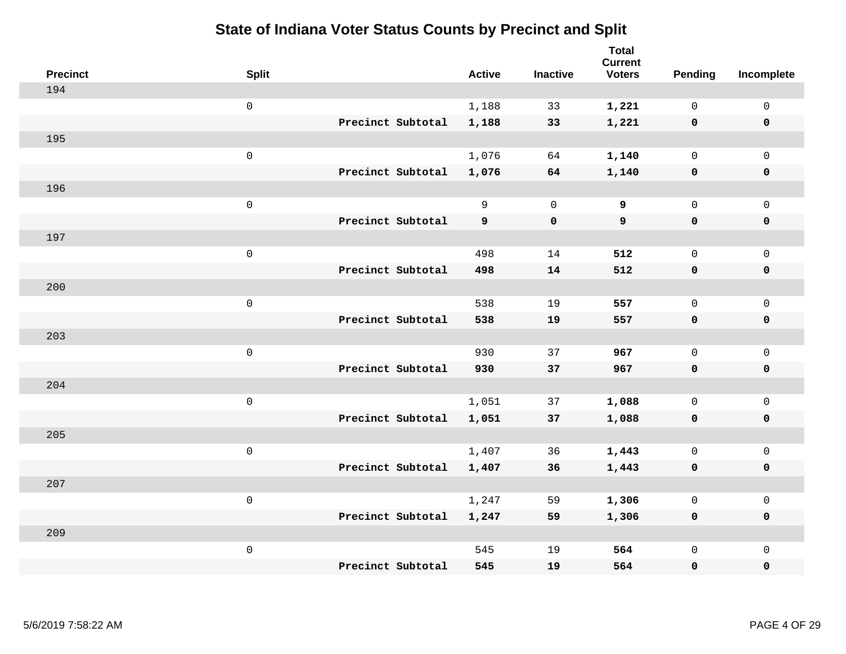| <b>Precinct</b> | <b>Split</b>        |                   | <b>Active</b> | <b>Inactive</b> | <b>Total</b><br><b>Current</b><br><b>Voters</b> | Pending      | Incomplete          |
|-----------------|---------------------|-------------------|---------------|-----------------|-------------------------------------------------|--------------|---------------------|
| 194             |                     |                   |               |                 |                                                 |              |                     |
|                 | $\mathsf{O}\xspace$ |                   | 1,188         | 33              | 1,221                                           | $\mathbf 0$  | $\mathsf{O}\xspace$ |
|                 |                     | Precinct Subtotal | 1,188         | 33              | 1,221                                           | $\mathbf 0$  | $\pmb{0}$           |
| 195             |                     |                   |               |                 |                                                 |              |                     |
|                 | $\mathsf 0$         |                   | 1,076         | 64              | 1,140                                           | $\mathbf 0$  | $\mathbf{0}$        |
|                 |                     | Precinct Subtotal | 1,076         | 64              | 1,140                                           | $\mathbf 0$  | $\pmb{0}$           |
| 196             |                     |                   |               |                 |                                                 |              |                     |
|                 | $\mathsf 0$         |                   | 9             | $\overline{0}$  | 9                                               | $\mathbf 0$  | $\mathsf{O}\xspace$ |
|                 |                     | Precinct Subtotal | 9             | $\mathbf 0$     | 9                                               | 0            | 0                   |
| 197             |                     |                   |               |                 |                                                 |              |                     |
|                 | $\mathsf 0$         |                   | 498           | 14              | 512                                             | $\mathbf 0$  | $\mathsf{O}\xspace$ |
|                 |                     | Precinct Subtotal | 498           | 14              | 512                                             | $\mathbf 0$  | 0                   |
| 200             |                     |                   |               |                 |                                                 |              |                     |
|                 | $\mathsf 0$         |                   | 538           | 19              | 557                                             | $\mathbf 0$  | $\mathsf{O}\xspace$ |
|                 |                     | Precinct Subtotal | 538           | 19              | 557                                             | $\mathbf 0$  | 0                   |
| 203             |                     |                   |               |                 |                                                 |              |                     |
|                 | $\mathsf{O}\xspace$ |                   | 930           | 37              | 967                                             | $\mathbf 0$  | $\mathsf{O}\xspace$ |
|                 |                     | Precinct Subtotal | 930           | 37              | 967                                             | 0            | 0                   |
| 204             |                     |                   |               |                 |                                                 |              |                     |
|                 | $\mathsf 0$         |                   | 1,051         | 37              | 1,088                                           | $\mathbf 0$  | $\mathsf{O}$        |
|                 |                     | Precinct Subtotal | 1,051         | 37              | 1,088                                           | $\mathbf 0$  | 0                   |
| 205             |                     |                   |               |                 |                                                 |              |                     |
|                 | $\mathsf 0$         |                   | 1,407         | 36              | 1,443                                           | $\mathbf 0$  | $\mathsf{O}\xspace$ |
|                 |                     | Precinct Subtotal | 1,407         | 36              | 1,443                                           | 0            | 0                   |
| 207             |                     |                   |               |                 |                                                 |              |                     |
|                 | $\mathsf 0$         |                   | 1,247         | 59              | 1,306                                           | $\mathbf 0$  | $\mathsf{O}\xspace$ |
|                 |                     | Precinct Subtotal | 1,247         | 59              | 1,306                                           | 0            | 0                   |
| 209             |                     |                   |               |                 |                                                 |              |                     |
|                 | $\mathsf{O}\xspace$ |                   | 545           | 19              | 564                                             | $\mathsf{O}$ | $\mathsf{O}$        |
|                 |                     | Precinct Subtotal | 545           | 19              | 564                                             | 0            | $\pmb{0}$           |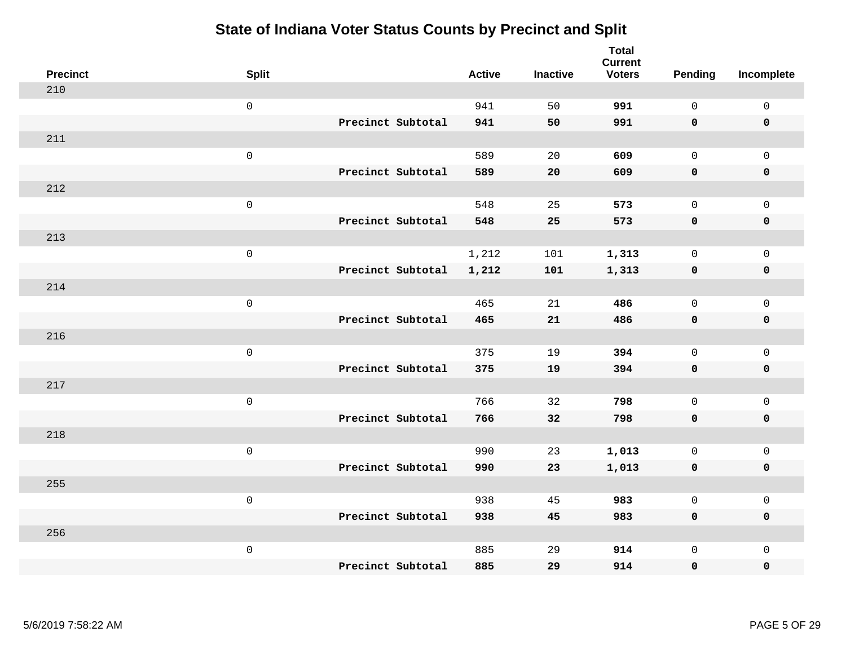| <b>Precinct</b> | <b>Split</b>        |                   | <b>Active</b> | <b>Inactive</b> | <b>Total</b><br><b>Current</b><br><b>Voters</b> | Pending      | Incomplete          |
|-----------------|---------------------|-------------------|---------------|-----------------|-------------------------------------------------|--------------|---------------------|
| 210             |                     |                   |               |                 |                                                 |              |                     |
|                 | $\mathsf{O}\xspace$ |                   | 941           | 50              | 991                                             | $\mathbf 0$  | $\mathsf{O}\xspace$ |
|                 |                     | Precinct Subtotal | 941           | 50              | 991                                             | $\mathbf 0$  | $\mathbf 0$         |
| 211             |                     |                   |               |                 |                                                 |              |                     |
|                 | $\mathsf{O}\xspace$ |                   | 589           | 20              | 609                                             | $\mathsf{O}$ | $\mathsf{O}$        |
|                 |                     | Precinct Subtotal | 589           | 20              | 609                                             | $\mathbf 0$  | 0                   |
| 212             |                     |                   |               |                 |                                                 |              |                     |
|                 | $\mathsf{O}\xspace$ |                   | 548           | 25              | 573                                             | $\mathbf 0$  | $\mathsf{O}$        |
|                 |                     | Precinct Subtotal | 548           | 25              | 573                                             | $\mathbf 0$  | $\pmb{0}$           |
| 213             |                     |                   |               |                 |                                                 |              |                     |
|                 | $\mathsf{O}\xspace$ |                   | 1,212         | 101             | 1,313                                           | $\mathbf 0$  | $\mathsf{O}\xspace$ |
|                 |                     | Precinct Subtotal | 1,212         | 101             | 1,313                                           | $\mathbf 0$  | $\pmb{0}$           |
| 214             |                     |                   |               |                 |                                                 |              |                     |
|                 | $\mathsf{O}\xspace$ |                   | 465           | 21              | 486                                             | $\mathbf 0$  | $\mathsf 0$         |
|                 |                     | Precinct Subtotal | 465           | 21              | 486                                             | 0            | $\mathbf 0$         |
| 216             |                     |                   |               |                 |                                                 |              |                     |
|                 | $\mathsf{O}\xspace$ |                   | 375           | 19              | 394                                             | $\mathbf 0$  | $\mathsf{O}$        |
|                 |                     | Precinct Subtotal | 375           | 19              | 394                                             | $\mathbf 0$  | 0                   |
| 217             |                     |                   |               |                 |                                                 |              |                     |
|                 | $\mathsf{O}\xspace$ |                   | 766           | 32              | 798                                             | $\mathbf 0$  | $\mathsf{O}\xspace$ |
|                 |                     | Precinct Subtotal | 766           | 32              | 798                                             | 0            | 0                   |
| 218             |                     |                   |               |                 |                                                 |              |                     |
|                 | $\mathsf 0$         |                   | 990           | 23              | 1,013                                           | $\mathbf 0$  | $\mathsf{O}\xspace$ |
|                 |                     | Precinct Subtotal | 990           | 23              | 1,013                                           | $\mathbf 0$  | 0                   |
| 255             |                     |                   |               |                 |                                                 |              |                     |
|                 | $\mathsf{O}\xspace$ |                   | 938           | 45              | 983                                             | $\mathsf{O}$ | $\mathsf 0$         |
|                 |                     | Precinct Subtotal | 938           | 45              | 983                                             | 0            | 0                   |
| 256             |                     |                   |               |                 |                                                 |              |                     |
|                 | $\mathsf{O}\xspace$ |                   | 885           | 29              | 914                                             | $\mathsf{O}$ | $\mathsf{O}$        |
|                 |                     | Precinct Subtotal | 885           | 29              | 914                                             | 0            | 0                   |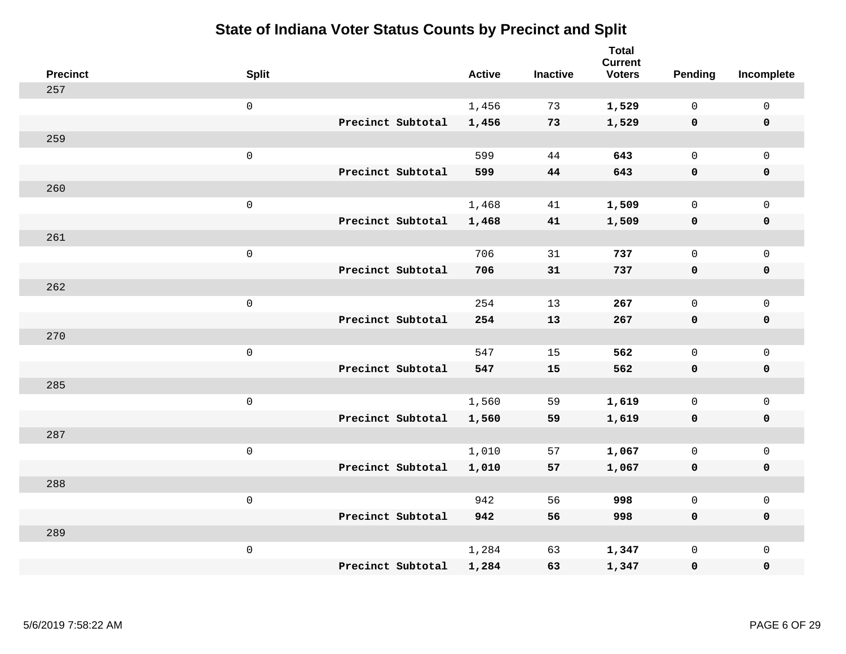| <b>Precinct</b> | <b>Split</b>        |                   | <b>Active</b> | <b>Inactive</b> | <b>Total</b><br><b>Current</b><br><b>Voters</b> | Pending      | Incomplete          |
|-----------------|---------------------|-------------------|---------------|-----------------|-------------------------------------------------|--------------|---------------------|
| 257             |                     |                   |               |                 |                                                 |              |                     |
|                 | $\mathsf{O}$        |                   | 1,456         | 73              | 1,529                                           | $\mathbf 0$  | $\mathsf{O}$        |
|                 |                     | Precinct Subtotal | 1,456         | 73              | 1,529                                           | $\mathbf 0$  | $\mathbf 0$         |
| 259             |                     |                   |               |                 |                                                 |              |                     |
|                 | $\mathsf{O}\xspace$ |                   | 599           | 44              | 643                                             | $\mathsf{O}$ | $\mathsf{O}$        |
|                 |                     | Precinct Subtotal | 599           | 44              | 643                                             | 0            | 0                   |
| 260             |                     |                   |               |                 |                                                 |              |                     |
|                 | $\mathsf{O}\xspace$ |                   | 1,468         | 41              | 1,509                                           | $\mathbf 0$  | $\mathsf{O}\xspace$ |
|                 |                     | Precinct Subtotal | 1,468         | 41              | 1,509                                           | 0            | 0                   |
| 261             |                     |                   |               |                 |                                                 |              |                     |
|                 | $\mathsf 0$         |                   | 706           | 31              | 737                                             | $\mathbf 0$  | $\mathsf{O}\xspace$ |
|                 |                     | Precinct Subtotal | 706           | 31              | 737                                             | $\mathbf 0$  | 0                   |
| 262             |                     |                   |               |                 |                                                 |              |                     |
|                 | $\mathsf{O}\xspace$ |                   | 254           | 13              | 267                                             | $\mathbf 0$  | $\mathsf{O}$        |
|                 |                     | Precinct Subtotal | 254           | 13              | 267                                             | 0            | 0                   |
| 270             |                     |                   |               |                 |                                                 |              |                     |
|                 | $\mathsf{O}\xspace$ |                   | 547           | 15              | 562                                             | $\mathsf{O}$ | $\mathsf{O}$        |
|                 |                     | Precinct Subtotal | 547           | 15              | 562                                             | 0            | 0                   |
| 285             |                     |                   |               |                 |                                                 |              |                     |
|                 | $\mathsf{O}\xspace$ |                   | 1,560         | 59              | 1,619                                           | $\mathsf{O}$ | $\mathsf{O}$        |
|                 |                     | Precinct Subtotal | 1,560         | 59              | 1,619                                           | 0            | 0                   |
| 287             |                     |                   |               |                 |                                                 |              |                     |
|                 | $\mathsf 0$         |                   | 1,010         | 57              | 1,067                                           | $\mathsf{O}$ | $\mathsf{O}\xspace$ |
|                 |                     | Precinct Subtotal | 1,010         | 57              | 1,067                                           | 0            | 0                   |
| 288             |                     |                   |               |                 |                                                 |              |                     |
|                 | $\mathsf{O}\xspace$ |                   | 942           | 56              | 998                                             | $\mathbf 0$  | $\mathsf{O}\xspace$ |
|                 |                     | Precinct Subtotal | 942           | 56              | 998                                             | 0            | 0                   |
| 289             |                     |                   |               |                 |                                                 |              |                     |
|                 | $\mathsf 0$         |                   | 1,284         | 63              | 1,347                                           | $\mathsf{O}$ | $\mathsf{O}$        |
|                 |                     | Precinct Subtotal | 1,284         | 63              | 1,347                                           | 0            | 0                   |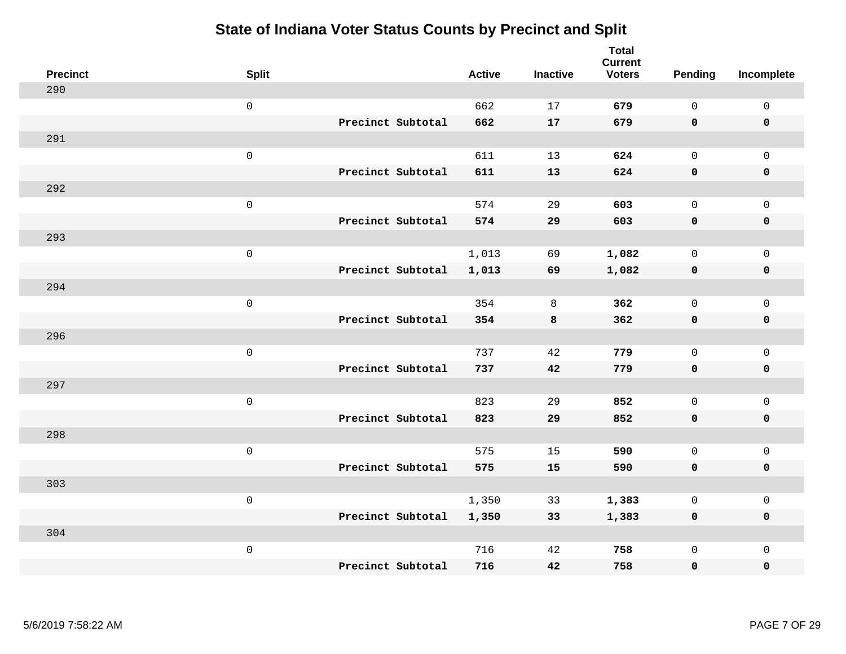| <b>Precinct</b> | <b>Split</b>        |                   | <b>Active</b> | <b>Inactive</b> | <b>Total</b><br><b>Current</b><br><b>Voters</b> | <b>Pending</b> | Incomplete  |
|-----------------|---------------------|-------------------|---------------|-----------------|-------------------------------------------------|----------------|-------------|
| 290             |                     |                   |               |                 |                                                 |                |             |
|                 | $\mathsf{O}\xspace$ |                   | 662           | 17              | 679                                             | $\mathbf 0$    | $\mathsf 0$ |
|                 |                     | Precinct Subtotal | 662           | 17              | 679                                             | $\mathbf 0$    | $\mathbf 0$ |
| 291             |                     |                   |               |                 |                                                 |                |             |
|                 | $\mathbf 0$         |                   | 611           | 13              | 624                                             | $\mathsf{O}$   | $\mathbf 0$ |
|                 |                     | Precinct Subtotal | 611           | 13              | 624                                             | $\mathbf 0$    | $\pmb{0}$   |
| 292             |                     |                   |               |                 |                                                 |                |             |
|                 | $\mathsf 0$         |                   | 574           | 29              | 603                                             | $\mathbf 0$    | $\mathbf 0$ |
|                 |                     | Precinct Subtotal | 574           | 29              | 603                                             | $\mathbf 0$    | $\mathbf 0$ |
| 293             |                     |                   |               |                 |                                                 |                |             |
|                 | $\mathbf 0$         |                   | 1,013         | 69              | 1,082                                           | $\mathbf 0$    | $\mathbf 0$ |
|                 |                     | Precinct Subtotal | 1,013         | 69              | 1,082                                           | $\mathbf 0$    | $\mathbf 0$ |
| 294             |                     |                   |               |                 |                                                 |                |             |
|                 | $\mathsf 0$         |                   | 354           | 8               | 362                                             | $\Omega$       | $\mathbf 0$ |
|                 |                     | Precinct Subtotal | 354           | 8               | 362                                             | $\mathbf 0$    | $\mathbf 0$ |
| 296             |                     |                   |               |                 |                                                 |                |             |
|                 | $\mathbf 0$         |                   | 737           | 42              | 779                                             | $\mathbf 0$    | $\mathsf 0$ |
|                 |                     | Precinct Subtotal | 737           | 42              | 779                                             | $\mathbf 0$    | $\mathbf 0$ |
| 297             |                     |                   |               |                 |                                                 |                |             |
|                 | $\mathbf 0$         |                   | 823           | 29              | 852                                             | $\mathbf 0$    | $\mathsf 0$ |
|                 |                     | Precinct Subtotal | 823           | 29              | 852                                             | $\mathbf 0$    | $\mathbf 0$ |
| 298             |                     |                   |               |                 |                                                 |                |             |
|                 | $\mathbf 0$         |                   | 575           | 15              | 590                                             | $\mathbf 0$    | $\mathsf 0$ |
|                 |                     | Precinct Subtotal | 575           | 15              | 590                                             | $\mathbf 0$    | $\mathbf 0$ |
| 303             |                     |                   |               |                 |                                                 |                |             |
|                 | $\mathsf 0$         |                   | 1,350         | 33              | 1,383                                           | 0              | $\mathsf 0$ |
|                 |                     | Precinct Subtotal | 1,350         | 33              | 1,383                                           | $\mathbf 0$    | $\mathbf 0$ |
| 304             |                     |                   |               |                 |                                                 |                |             |
|                 | $\mathbf 0$         |                   | 716           | 42              | 758                                             | $\mathsf{O}$   | $\mathbf 0$ |
|                 |                     | Precinct Subtotal | 716           | 42              | 758                                             | 0              | $\pmb{0}$   |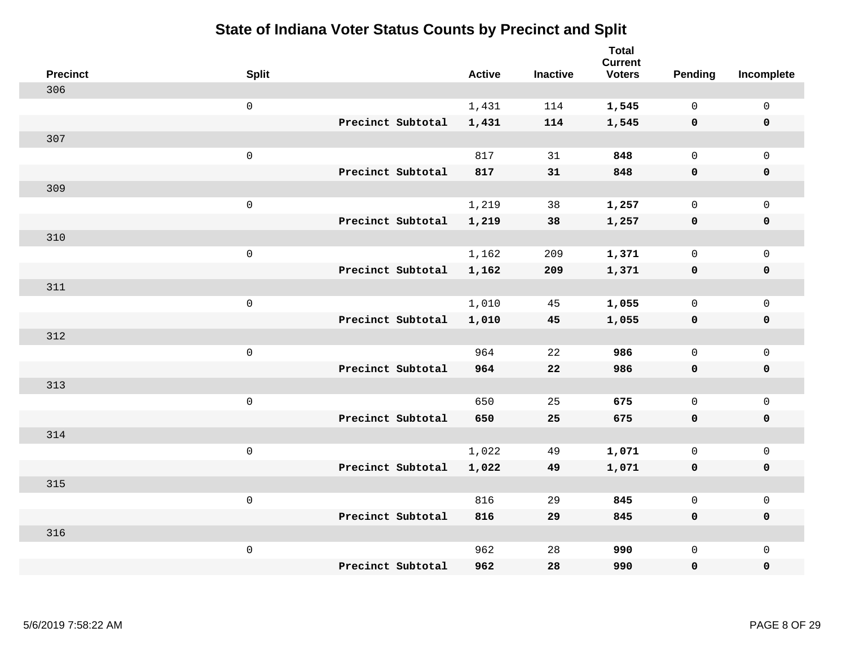| <b>Precinct</b> | <b>Split</b>        |                   | <b>Active</b> | <b>Inactive</b> | <b>Total</b><br><b>Current</b><br><b>Voters</b> | Pending      | Incomplete          |
|-----------------|---------------------|-------------------|---------------|-----------------|-------------------------------------------------|--------------|---------------------|
| 306             |                     |                   |               |                 |                                                 |              |                     |
|                 | $\mathbf 0$         |                   | 1,431         | 114             | 1,545                                           | $\mathbf 0$  | $\mathsf{O}$        |
|                 |                     | Precinct Subtotal | 1,431         | 114             | 1,545                                           | $\mathbf 0$  | $\mathbf 0$         |
| 307             |                     |                   |               |                 |                                                 |              |                     |
|                 | $\mathsf{O}$        |                   | 817           | 31              | 848                                             | $\mathsf{O}$ | $\mathsf{O}$        |
|                 |                     | Precinct Subtotal | 817           | 31              | 848                                             | 0            | 0                   |
| 309             |                     |                   |               |                 |                                                 |              |                     |
|                 | $\mathbf 0$         |                   | 1,219         | 38              | 1,257                                           | $\mathbf 0$  | $\mathsf{O}\xspace$ |
|                 |                     | Precinct Subtotal | 1,219         | 38              | 1,257                                           | 0            | 0                   |
| 310             |                     |                   |               |                 |                                                 |              |                     |
|                 | $\mathsf{O}\xspace$ |                   | 1,162         | 209             | 1,371                                           | $\mathsf{O}$ | $\mathsf{O}\xspace$ |
|                 |                     | Precinct Subtotal | 1,162         | 209             | 1,371                                           | 0            | 0                   |
| 311             |                     |                   |               |                 |                                                 |              |                     |
|                 | $\mathbf 0$         |                   | 1,010         | 45              | 1,055                                           | $\mathbf 0$  | $\mathsf{O}$        |
|                 |                     | Precinct Subtotal | 1,010         | 45              | 1,055                                           | $\mathbf 0$  | 0                   |
| 312             |                     |                   |               |                 |                                                 |              |                     |
|                 | $\mathbf 0$         |                   | 964           | 22              | 986                                             | $\mathsf{O}$ | $\mathsf{O}$        |
|                 |                     | Precinct Subtotal | 964           | 22              | 986                                             | 0            | 0                   |
| 313             |                     |                   |               |                 |                                                 |              |                     |
|                 | $\mathbf 0$         |                   | 650           | 25              | 675                                             | $\mathsf{O}$ | $\mathsf{O}$        |
|                 |                     | Precinct Subtotal | 650           | 25              | 675                                             | 0            | 0                   |
| 314             |                     |                   |               |                 |                                                 |              |                     |
|                 | $\mathbf 0$         |                   | 1,022         | 49              | 1,071                                           | $\mathsf{O}$ | $\mathsf{O}\xspace$ |
|                 |                     | Precinct Subtotal | 1,022         | 49              | 1,071                                           | 0            | 0                   |
| 315             |                     |                   |               |                 |                                                 |              |                     |
|                 | $\mathbf 0$         |                   | 816           | 29              | 845                                             | $\mathbf 0$  | $\mathsf{O}\xspace$ |
|                 |                     | Precinct Subtotal | 816           | 29              | 845                                             | 0            | 0                   |
| 316             |                     |                   |               |                 |                                                 |              |                     |
|                 | $\mathbf 0$         |                   | 962           | 28              | 990                                             | $\mathsf{O}$ | $\mathsf{O}$        |
|                 |                     | Precinct Subtotal | 962           | 28              | 990                                             | 0            | 0                   |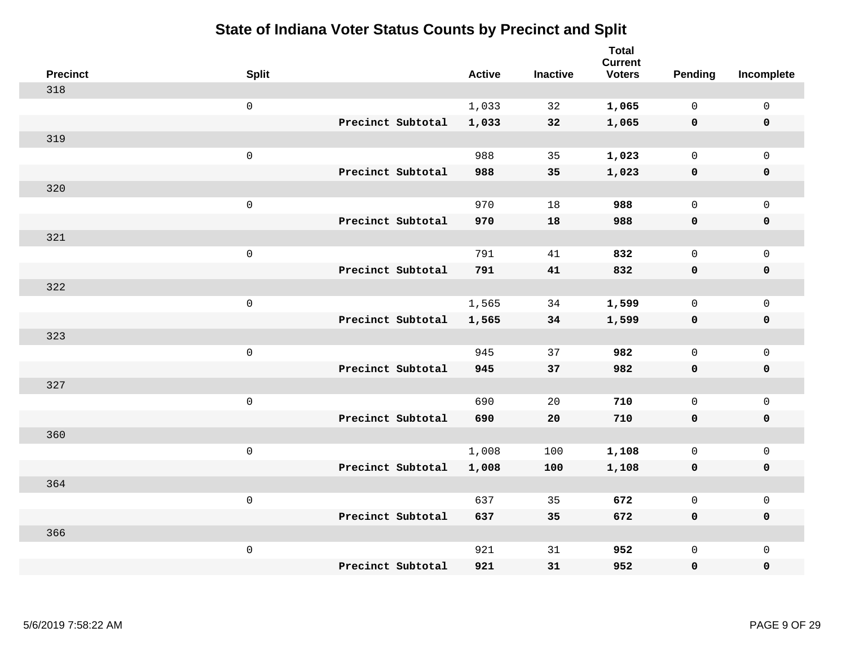| <b>Precinct</b> | <b>Split</b>        |                   | <b>Active</b> | <b>Inactive</b> | <b>Total</b><br><b>Current</b><br><b>Voters</b> | Pending      | Incomplete          |
|-----------------|---------------------|-------------------|---------------|-----------------|-------------------------------------------------|--------------|---------------------|
| 318             |                     |                   |               |                 |                                                 |              |                     |
|                 | $\mathsf{O}\xspace$ |                   | 1,033         | 32              | 1,065                                           | $\mathbf 0$  | 0                   |
|                 |                     | Precinct Subtotal | 1,033         | 32              | 1,065                                           | $\mathbf 0$  | $\pmb{0}$           |
| 319             |                     |                   |               |                 |                                                 |              |                     |
|                 | $\mathsf{O}\xspace$ |                   | 988           | 35              | 1,023                                           | $\mathbf 0$  | $\mathbf{0}$        |
|                 |                     | Precinct Subtotal | 988           | 35              | 1,023                                           | $\mathbf 0$  | $\pmb{0}$           |
| 320             |                     |                   |               |                 |                                                 |              |                     |
|                 | $\mathsf{O}\xspace$ |                   | 970           | 18              | 988                                             | $\mathbf 0$  | $\mathsf{O}$        |
|                 |                     | Precinct Subtotal | 970           | 18              | 988                                             | 0            | 0                   |
| 321             |                     |                   |               |                 |                                                 |              |                     |
|                 | $\mathsf 0$         |                   | 791           | 41              | 832                                             | $\mathbf 0$  | $\mathsf{O}\xspace$ |
|                 |                     | Precinct Subtotal | 791           | 41              | 832                                             | $\mathbf 0$  | 0                   |
| 322             |                     |                   |               |                 |                                                 |              |                     |
|                 | $\mathsf{O}\xspace$ |                   | 1,565         | 34              | 1,599                                           | $\mathbf 0$  | $\mathsf{O}\xspace$ |
|                 |                     | Precinct Subtotal | 1,565         | 34              | 1,599                                           | 0            | 0                   |
| 323             |                     |                   |               |                 |                                                 |              |                     |
|                 | $\mathsf{O}\xspace$ |                   | 945           | 37              | 982                                             | $\mathbf 0$  | $\mathsf{O}\xspace$ |
|                 |                     | Precinct Subtotal | 945           | 37              | 982                                             | 0            | 0                   |
| 327             |                     |                   |               |                 |                                                 |              |                     |
|                 | $\mathsf 0$         |                   | 690           | 20              | 710                                             | $\mathbf 0$  | $\mathsf{O}$        |
|                 |                     | Precinct Subtotal | 690           | 20              | 710                                             | 0            | 0                   |
| 360             |                     |                   |               |                 |                                                 |              |                     |
|                 | $\mathsf{O}\xspace$ |                   | 1,008         | 100             | 1,108                                           | $\mathbf 0$  | $\mathsf{O}\xspace$ |
|                 |                     | Precinct Subtotal | 1,008         | 100             | 1,108                                           | 0            | 0                   |
| 364             |                     |                   |               |                 |                                                 |              |                     |
|                 | $\mathsf{O}\xspace$ |                   | 637           | 35              | 672                                             | $\mathbf 0$  | $\mathsf{O}$        |
|                 |                     | Precinct Subtotal | 637           | 35              | 672                                             | 0            | 0                   |
| 366             |                     |                   |               |                 |                                                 |              |                     |
|                 | $\mathsf{O}\xspace$ |                   | 921           | 31              | 952                                             | $\mathsf{O}$ | $\mathsf{O}$        |
|                 |                     | Precinct Subtotal | 921           | 31              | 952                                             | 0            | 0                   |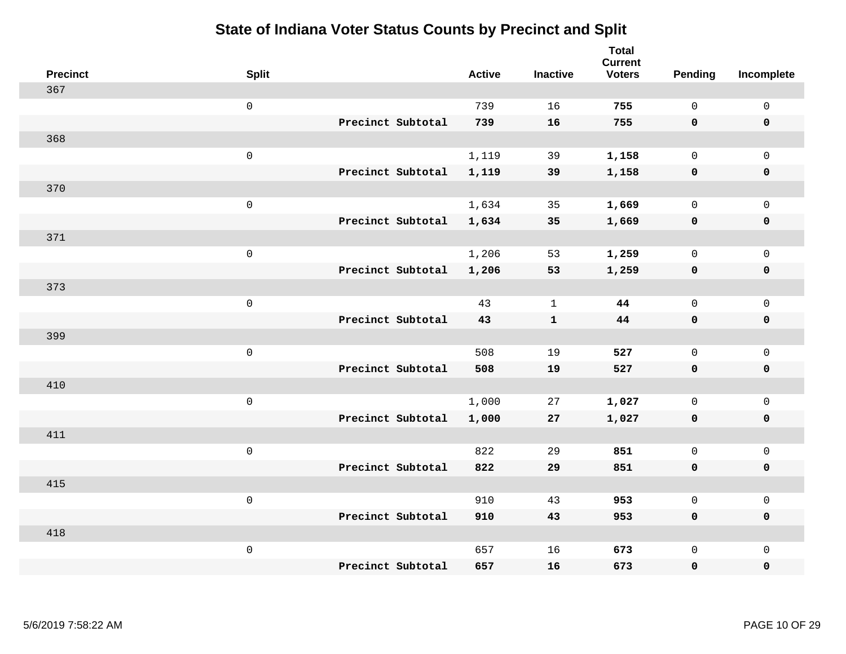| <b>Precinct</b> | <b>Split</b>        |                   | <b>Active</b> | <b>Inactive</b> | <b>Total</b><br><b>Current</b><br><b>Voters</b> | <b>Pending</b> | Incomplete          |
|-----------------|---------------------|-------------------|---------------|-----------------|-------------------------------------------------|----------------|---------------------|
| 367             |                     |                   |               |                 |                                                 |                |                     |
|                 | $\mathsf{O}$        |                   | 739           | 16              | 755                                             | $\mathbf 0$    | $\mathsf 0$         |
|                 |                     | Precinct Subtotal | 739           | 16              | 755                                             | $\mathbf 0$    | $\mathbf 0$         |
| 368             |                     |                   |               |                 |                                                 |                |                     |
|                 | $\mathsf{O}$        |                   | 1,119         | 39              | 1,158                                           | $\mathbf 0$    | $\mathsf{O}$        |
|                 |                     | Precinct Subtotal | 1,119         | 39              | 1,158                                           | $\mathbf 0$    | 0                   |
| 370             |                     |                   |               |                 |                                                 |                |                     |
|                 | $\mathsf{O}\xspace$ |                   | 1,634         | 35              | 1,669                                           | $\mathbf 0$    | $\mathsf{O}\xspace$ |
|                 |                     | Precinct Subtotal | 1,634         | 35              | 1,669                                           | $\mathbf 0$    | $\pmb{0}$           |
| 371             |                     |                   |               |                 |                                                 |                |                     |
|                 | $\mathsf{O}\xspace$ |                   | 1,206         | 53              | 1,259                                           | $\mathbf 0$    | $\mathsf{O}$        |
|                 |                     | Precinct Subtotal | 1,206         | 53              | 1,259                                           | $\mathbf 0$    | 0                   |
| 373             |                     |                   |               |                 |                                                 |                |                     |
|                 | $\mathbf 0$         |                   | 43            | $\mathbf{1}$    | 44                                              | $\mathbf 0$    | $\mathsf{O}\xspace$ |
|                 |                     | Precinct Subtotal | 43            | $\mathbf{1}$    | 44                                              | $\mathbf 0$    | 0                   |
| 399             |                     |                   |               |                 |                                                 |                |                     |
|                 | $\mathsf{O}\xspace$ |                   | 508           | 19              | 527                                             | $\mathbf 0$    | $\mathsf{O}\xspace$ |
|                 |                     | Precinct Subtotal | 508           | 19              | 527                                             | 0              | 0                   |
| 410             |                     |                   |               |                 |                                                 |                |                     |
|                 | $\mathbf 0$         |                   | 1,000         | 27              | 1,027                                           | $\mathbf 0$    | $\mathsf{O}$        |
|                 |                     | Precinct Subtotal | 1,000         | 27              | 1,027                                           | 0              | 0                   |
| 411             |                     |                   |               |                 |                                                 |                |                     |
|                 | $\mathbf 0$         |                   | 822           | 29              | 851                                             | $\mathbf 0$    | $\mathsf{O}$        |
|                 |                     | Precinct Subtotal | 822           | 29              | 851                                             | $\mathbf 0$    | 0                   |
| 415             |                     |                   |               |                 |                                                 |                |                     |
|                 | $\mathbf 0$         |                   | 910           | 43              | 953                                             | $\mathbf 0$    | $\mathsf{O}$        |
|                 |                     | Precinct Subtotal | 910           | 43              | 953                                             | 0              | 0                   |
| 418             |                     |                   |               |                 |                                                 |                |                     |
|                 | $\mathbf 0$         |                   | 657           | 16              | 673                                             | $\mathsf{O}$   | $\mathsf{O}$        |
|                 |                     | Precinct Subtotal | 657           | 16              | 673                                             | 0              | 0                   |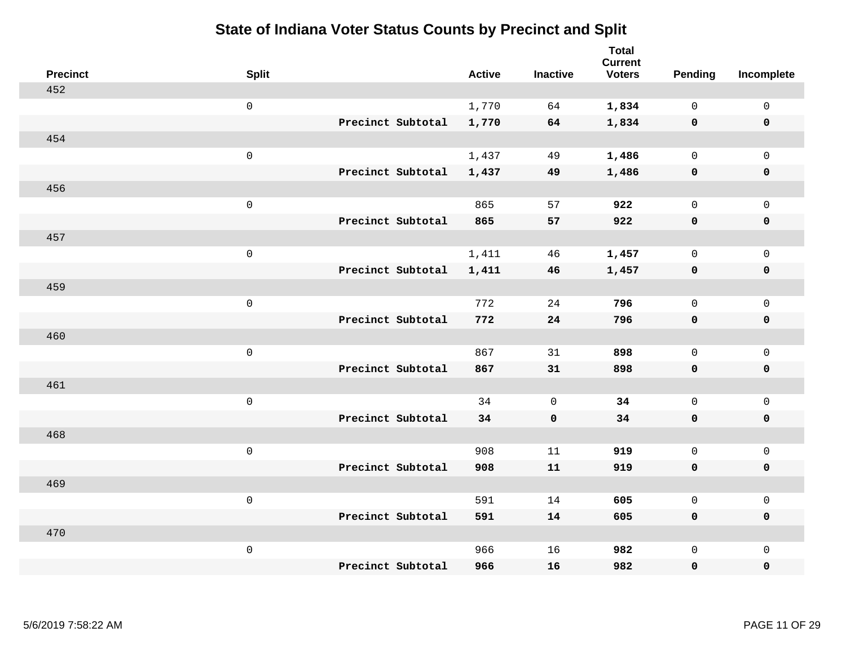| <b>Precinct</b> | <b>Split</b>        |                   | <b>Active</b> | <b>Inactive</b> | <b>Total</b><br><b>Current</b><br><b>Voters</b> | Pending      | Incomplete          |
|-----------------|---------------------|-------------------|---------------|-----------------|-------------------------------------------------|--------------|---------------------|
| 452             |                     |                   |               |                 |                                                 |              |                     |
|                 | $\mathbf 0$         |                   | 1,770         | 64              | 1,834                                           | $\mathbf 0$  | $\mathsf{O}$        |
|                 |                     | Precinct Subtotal | 1,770         | 64              | 1,834                                           | $\mathbf 0$  | $\mathbf 0$         |
| 454             |                     |                   |               |                 |                                                 |              |                     |
|                 | $\mathsf{O}\xspace$ |                   | 1,437         | 49              | 1,486                                           | $\mathbf 0$  | $\mathsf{O}$        |
|                 |                     | Precinct Subtotal | 1,437         | 49              | 1,486                                           | 0            | 0                   |
| 456             |                     |                   |               |                 |                                                 |              |                     |
|                 | $\mathbf 0$         |                   | 865           | 57              | 922                                             | $\mathbf 0$  | $\mathsf{O}\xspace$ |
|                 |                     | Precinct Subtotal | 865           | 57              | 922                                             | $\mathbf 0$  | 0                   |
| 457             |                     |                   |               |                 |                                                 |              |                     |
|                 | $\mathbf 0$         |                   | 1,411         | 46              | 1,457                                           | $\mathbf 0$  | $\mathsf{O}\xspace$ |
|                 |                     | Precinct Subtotal | 1,411         | 46              | 1,457                                           | $\mathbf 0$  | 0                   |
| 459             |                     |                   |               |                 |                                                 |              |                     |
|                 | $\mathbf 0$         |                   | 772           | 24              | 796                                             | $\mathbf{0}$ | $\mathbf 0$         |
|                 |                     | Precinct Subtotal | 772           | 24              | 796                                             | $\mathbf 0$  | 0                   |
| 460             |                     |                   |               |                 |                                                 |              |                     |
|                 | $\mathbf 0$         |                   | 867           | 31              | 898                                             | $\mathsf{O}$ | $\mathsf{O}$        |
|                 |                     | Precinct Subtotal | 867           | 31              | 898                                             | 0            | 0                   |
| 461             |                     |                   |               |                 |                                                 |              |                     |
|                 | $\mathbf 0$         |                   | 34            | $\mathbf 0$     | 34                                              | $\mathsf{O}$ | $\mathsf{O}$        |
|                 |                     | Precinct Subtotal | 34            | $\mathbf 0$     | 34                                              | 0            | 0                   |
| 468             |                     |                   |               |                 |                                                 |              |                     |
|                 | $\mathbf 0$         |                   | 908           | 11              | 919                                             | $\mathsf{O}$ | $\mathsf{O}\xspace$ |
|                 |                     | Precinct Subtotal | 908           | 11              | 919                                             | 0            | 0                   |
| 469             |                     |                   |               |                 |                                                 |              |                     |
|                 | $\mathbf 0$         |                   | 591           | 14              | 605                                             | $\mathbf 0$  | $\mathbf 0$         |
|                 |                     | Precinct Subtotal | 591           | 14              | 605                                             | 0            | 0                   |
| 470             |                     |                   |               |                 |                                                 |              |                     |
|                 | $\mathbf 0$         |                   | 966           | 16              | 982                                             | $\mathsf{O}$ | $\mathsf{O}$        |
|                 |                     | Precinct Subtotal | 966           | 16              | 982                                             | 0            | 0                   |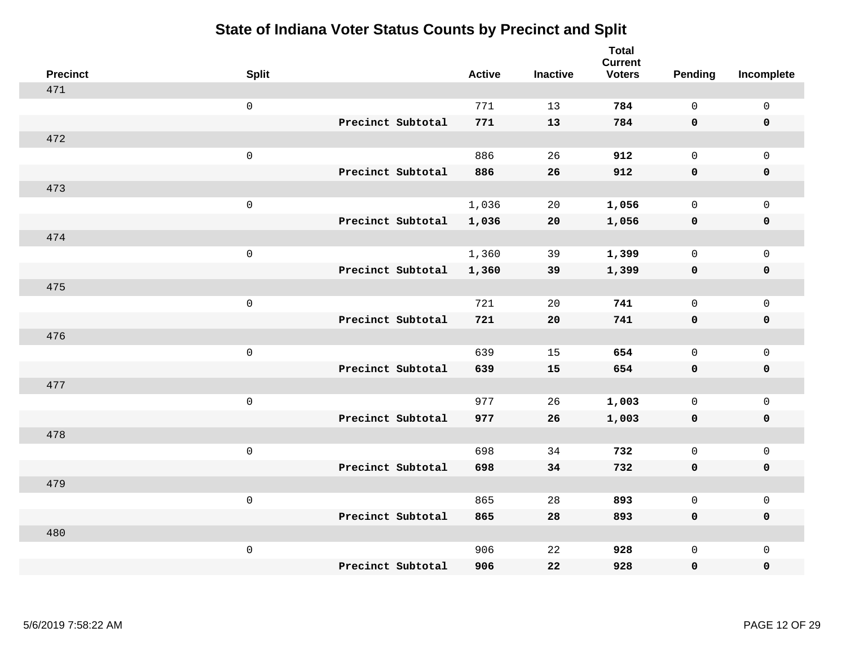| <b>Precinct</b> | <b>Split</b>        |                   | <b>Active</b> | <b>Inactive</b> | <b>Total</b><br><b>Current</b><br><b>Voters</b> | Pending      | Incomplete          |
|-----------------|---------------------|-------------------|---------------|-----------------|-------------------------------------------------|--------------|---------------------|
| 471             |                     |                   |               |                 |                                                 |              |                     |
|                 | $\mathsf{O}\xspace$ |                   | 771           | 13              | 784                                             | $\mathsf{O}$ | $\mathsf 0$         |
|                 |                     | Precinct Subtotal | 771           | 13              | 784                                             | $\mathbf 0$  | $\mathbf 0$         |
| 472             |                     |                   |               |                 |                                                 |              |                     |
|                 | $\mathbf 0$         |                   | 886           | 26              | 912                                             | $\mathbf 0$  | $\mathbf 0$         |
|                 |                     | Precinct Subtotal | 886           | 26              | 912                                             | $\mathbf 0$  | $\mathbf 0$         |
| 473             |                     |                   |               |                 |                                                 |              |                     |
|                 | $\mathsf{O}\xspace$ |                   | 1,036         | 20              | 1,056                                           | $\mathbf 0$  | $\mathsf{O}\xspace$ |
|                 |                     | Precinct Subtotal | 1,036         | 20              | 1,056                                           | $\mathbf 0$  | $\mathbf 0$         |
| 474             |                     |                   |               |                 |                                                 |              |                     |
|                 | $\mathbf 0$         |                   | 1,360         | 39              | 1,399                                           | $\mathsf{O}$ | $\mathbf 0$         |
|                 |                     | Precinct Subtotal | 1,360         | 39              | 1,399                                           | $\mathbf 0$  | $\mathbf 0$         |
| 475             |                     |                   |               |                 |                                                 |              |                     |
|                 | $\mathbf 0$         |                   | 721           | 20              | 741                                             | $\mathbf 0$  | $\mathsf{O}\xspace$ |
|                 |                     | Precinct Subtotal | 721           | 20              | 741                                             | 0            | $\mathbf 0$         |
| 476             |                     |                   |               |                 |                                                 |              |                     |
|                 | $\mathbf 0$         |                   | 639           | 15              | 654                                             | $\mathbf 0$  | $\mathsf{O}\xspace$ |
|                 |                     | Precinct Subtotal | 639           | 15              | 654                                             | $\mathbf 0$  | $\mathbf 0$         |
| 477             |                     |                   |               |                 |                                                 |              |                     |
|                 | $\mathbf 0$         |                   | 977           | 26              | 1,003                                           | $\mathsf{O}$ | $\mathbf 0$         |
|                 |                     | Precinct Subtotal | 977           | 26              | 1,003                                           | 0            | 0                   |
| 478             |                     |                   |               |                 |                                                 |              |                     |
|                 | $\mathbf 0$         |                   | 698           | 34              | 732                                             | $\mathbf 0$  | $\mathbf 0$         |
|                 |                     | Precinct Subtotal | 698           | 34              | 732                                             | 0            | $\pmb{0}$           |
| 479             |                     |                   |               |                 |                                                 |              |                     |
|                 | $\mathbf 0$         |                   | 865           | 28              | 893                                             | $\mathbf 0$  | $\mathbf 0$         |
|                 |                     | Precinct Subtotal | 865           | 28              | 893                                             | $\mathbf 0$  | $\mathbf 0$         |
| 480             |                     |                   |               |                 |                                                 |              |                     |
|                 | $\mathbf 0$         |                   | 906           | 22              | 928                                             | $\mathsf{O}$ | $\mathbf 0$         |
|                 |                     | Precinct Subtotal | 906           | 22              | 928                                             | 0            | 0                   |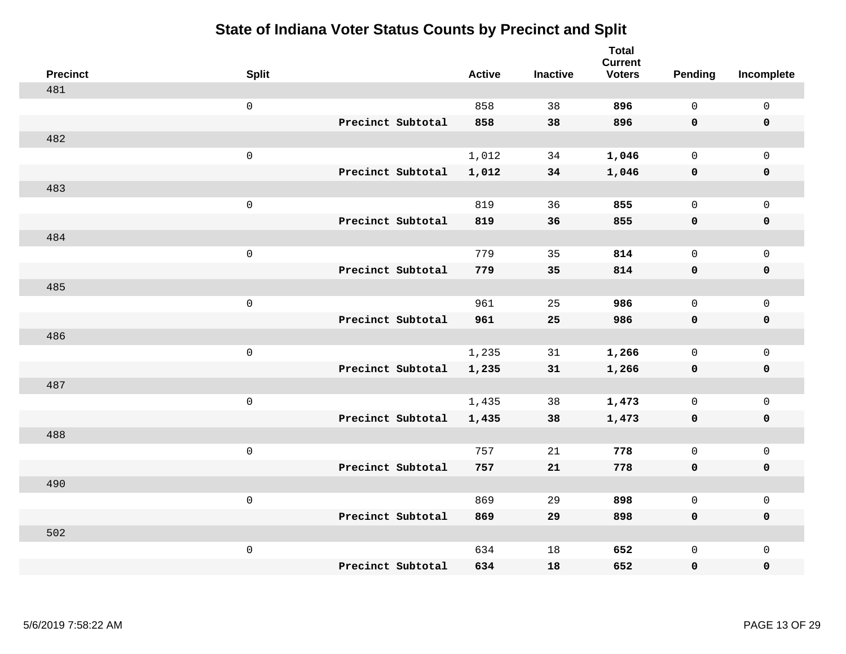| <b>Precinct</b> | <b>Split</b>        | <b>Active</b> | <b>Inactive</b> | <b>Total</b><br><b>Current</b><br><b>Voters</b> | <b>Pending</b> | Incomplete          |
|-----------------|---------------------|---------------|-----------------|-------------------------------------------------|----------------|---------------------|
| 481             |                     |               |                 |                                                 |                |                     |
|                 | $\mathsf{O}\xspace$ | 858           | 38              | 896                                             | $\mathsf{O}$   | $\mathsf 0$         |
|                 | Precinct Subtotal   | 858           | 38              | 896                                             | $\mathbf 0$    | $\mathbf 0$         |
| 482             |                     |               |                 |                                                 |                |                     |
|                 | $\mathsf 0$         | 1,012         | 34              | 1,046                                           | $\mathbf 0$    | $\mathbf 0$         |
|                 | Precinct Subtotal   | 1,012         | 34              | 1,046                                           | $\mathbf 0$    | $\pmb{0}$           |
| 483             |                     |               |                 |                                                 |                |                     |
|                 | $\mathsf{O}\xspace$ | 819           | 36              | 855                                             | $\Omega$       | $\mathbf 0$         |
|                 | Precinct Subtotal   | 819           | 36              | 855                                             | $\mathbf 0$    | $\mathbf 0$         |
| 484             |                     |               |                 |                                                 |                |                     |
|                 | $\mathsf{O}\xspace$ | 779           | 35              | 814                                             | $\mathbf 0$    | $\mathbf 0$         |
|                 | Precinct Subtotal   | 779           | 35              | 814                                             | $\mathbf 0$    | $\mathbf 0$         |
| 485             |                     |               |                 |                                                 |                |                     |
|                 | $\mathsf{O}\xspace$ | 961           | 25              | 986                                             | $\mathbf 0$    | $\mathsf{O}\xspace$ |
|                 | Precinct Subtotal   | 961           | 25              | 986                                             | $\mathbf 0$    | $\mathbf 0$         |
| 486             |                     |               |                 |                                                 |                |                     |
|                 | $\mathsf 0$         | 1,235         | 31              | 1,266                                           | $\mathbf 0$    | $\mathsf 0$         |
|                 | Precinct Subtotal   | 1,235         | 31              | 1,266                                           | $\mathbf 0$    | $\mathbf 0$         |
| 487             |                     |               |                 |                                                 |                |                     |
|                 | $\mathsf 0$         | 1,435         | 38              | 1,473                                           | $\mathsf{O}$   | $\mathbf 0$         |
|                 | Precinct Subtotal   | 1,435         | 38              | 1,473                                           | 0              | 0                   |
| 488             |                     |               |                 |                                                 |                |                     |
|                 | $\mathsf 0$         | 757           | 21              | 778                                             | $\mathbf 0$    | $\mathbf 0$         |
|                 | Precinct Subtotal   | 757           | 21              | 778                                             | $\mathbf 0$    | $\pmb{0}$           |
| 490             |                     |               |                 |                                                 |                |                     |
|                 | $\mathsf 0$         | 869           | 29              | 898                                             | $\mathbf 0$    | $\mathbf 0$         |
|                 | Precinct Subtotal   | 869           | 29              | 898                                             | $\mathbf 0$    | $\mathbf 0$         |
| 502             |                     |               |                 |                                                 |                |                     |
|                 | $\mathsf 0$         | 634           | 18              | 652                                             | $\mathsf{O}$   | $\mathbf 0$         |
|                 | Precinct Subtotal   | 634           | 18              | 652                                             | 0              | 0                   |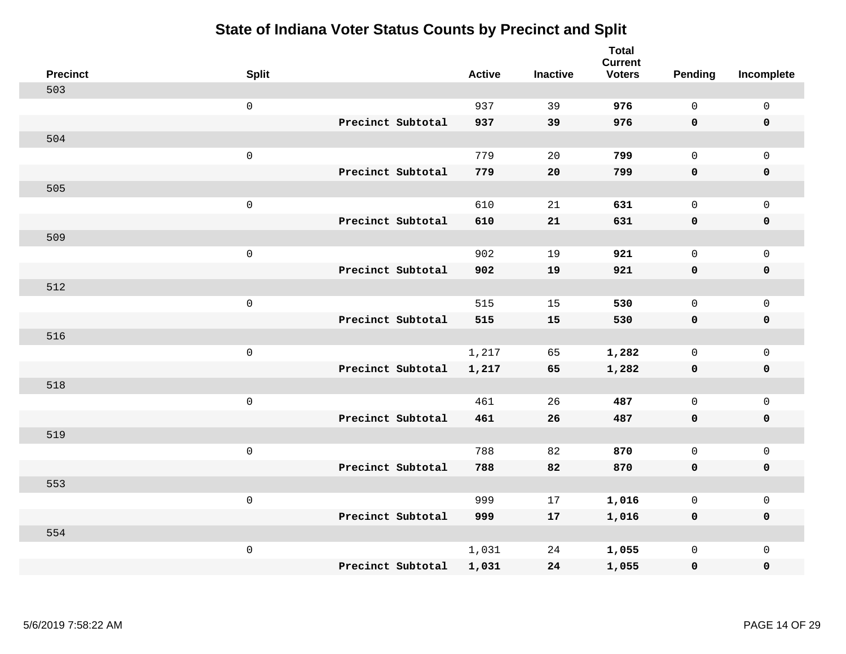| <b>Precinct</b> | <b>Split</b>        |                   | <b>Active</b> | <b>Inactive</b> | <b>Total</b><br><b>Current</b><br><b>Voters</b> | Pending      | Incomplete          |
|-----------------|---------------------|-------------------|---------------|-----------------|-------------------------------------------------|--------------|---------------------|
| 503             |                     |                   |               |                 |                                                 |              |                     |
|                 | $\mathsf 0$         |                   | 937           | 39              | 976                                             | $\mathbf 0$  | $\mathsf 0$         |
|                 |                     | Precinct Subtotal | 937           | 39              | 976                                             | $\mathbf 0$  | $\mathbf 0$         |
| 504             |                     |                   |               |                 |                                                 |              |                     |
|                 | $\mathsf{O}\xspace$ |                   | 779           | 20              | 799                                             | $\mathbf{0}$ | $\mathsf{O}$        |
|                 |                     | Precinct Subtotal | 779           | 20              | 799                                             | $\mathbf 0$  | 0                   |
| 505             |                     |                   |               |                 |                                                 |              |                     |
|                 | $\mathsf{O}\xspace$ |                   | 610           | 21              | 631                                             | $\mathbf{0}$ | $\mathsf{O}$        |
|                 |                     | Precinct Subtotal | 610           | 21              | 631                                             | $\mathbf 0$  | 0                   |
| 509             |                     |                   |               |                 |                                                 |              |                     |
|                 | $\mathsf{O}\xspace$ |                   | 902           | 19              | 921                                             | $\mathbf 0$  | $\mathsf{O}\xspace$ |
|                 |                     | Precinct Subtotal | 902           | 19              | 921                                             | $\mathbf 0$  | $\pmb{0}$           |
| 512             |                     |                   |               |                 |                                                 |              |                     |
|                 | $\mathsf{O}\xspace$ |                   | 515           | 15              | 530                                             | $\mathbf{0}$ | $\mathbf 0$         |
|                 |                     | Precinct Subtotal | 515           | 15              | 530                                             | 0            | $\mathbf 0$         |
| 516             |                     |                   |               |                 |                                                 |              |                     |
|                 | $\mathsf{O}\xspace$ |                   | 1,217         | 65              | 1,282                                           | $\mathbf 0$  | $\mathsf{O}$        |
|                 |                     | Precinct Subtotal | 1,217         | 65              | 1,282                                           | $\mathbf 0$  | 0                   |
| 518             |                     |                   |               |                 |                                                 |              |                     |
|                 | $\mathsf{O}\xspace$ |                   | 461           | 26              | 487                                             | $\mathbf 0$  | $\mathsf{O}\xspace$ |
|                 |                     | Precinct Subtotal | 461           | 26              | 487                                             | 0            | 0                   |
| 519             |                     |                   |               |                 |                                                 |              |                     |
|                 | $\mathsf 0$         |                   | 788           | 82              | 870                                             | $\mathbf 0$  | $\mathsf{O}\xspace$ |
|                 |                     | Precinct Subtotal | 788           | 82              | 870                                             | $\mathbf 0$  | 0                   |
| 553             |                     |                   |               |                 |                                                 |              |                     |
|                 | $\mathsf{O}\xspace$ |                   | 999           | 17              | 1,016                                           | $\mathbf 0$  | $\mathsf 0$         |
|                 |                     | Precinct Subtotal | 999           | 17              | 1,016                                           | 0            | 0                   |
| 554             |                     |                   |               |                 |                                                 |              |                     |
|                 | $\mathsf 0$         |                   | 1,031         | 24              | 1,055                                           | $\mathsf{O}$ | $\mathsf{O}$        |
|                 |                     | Precinct Subtotal | 1,031         | 24              | 1,055                                           | 0            | 0                   |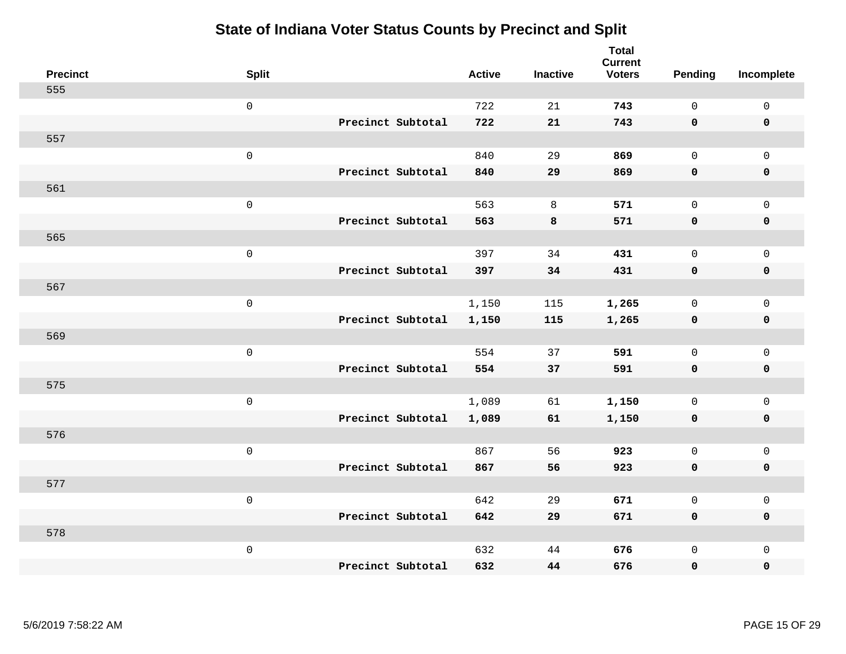| <b>Precinct</b> | <b>Split</b>        |                   | <b>Active</b> | <b>Inactive</b> | <b>Total</b><br><b>Current</b><br><b>Voters</b> | <b>Pending</b> | Incomplete          |
|-----------------|---------------------|-------------------|---------------|-----------------|-------------------------------------------------|----------------|---------------------|
| 555             |                     |                   |               |                 |                                                 |                |                     |
|                 | $\mathsf{O}$        |                   | 722           | 21              | 743                                             | $\mathbf 0$    | $\mathsf 0$         |
|                 |                     | Precinct Subtotal | 722           | 21              | 743                                             | $\mathbf 0$    | $\mathbf 0$         |
| 557             |                     |                   |               |                 |                                                 |                |                     |
|                 | $\mathsf{O}$        |                   | 840           | 29              | 869                                             | $\mathbf 0$    | $\mathsf{O}$        |
|                 |                     | Precinct Subtotal | 840           | 29              | 869                                             | $\mathbf 0$    | 0                   |
| 561             |                     |                   |               |                 |                                                 |                |                     |
|                 | $\mathsf{O}\xspace$ |                   | 563           | 8               | 571                                             | $\mathbf 0$    | $\mathsf{O}\xspace$ |
|                 |                     | Precinct Subtotal | 563           | 8               | 571                                             | $\mathbf 0$    | $\mathbf 0$         |
| 565             |                     |                   |               |                 |                                                 |                |                     |
|                 | $\mathsf{O}\xspace$ |                   | 397           | 34              | 431                                             | $\mathbf 0$    | $\mathsf{O}$        |
|                 |                     | Precinct Subtotal | 397           | 34              | 431                                             | 0              | 0                   |
| 567             |                     |                   |               |                 |                                                 |                |                     |
|                 | $\mathbf 0$         |                   | 1,150         | 115             | 1,265                                           | $\mathbf 0$    | $\mathsf{O}$        |
|                 |                     | Precinct Subtotal | 1,150         | 115             | 1,265                                           | 0              | 0                   |
| 569             |                     |                   |               |                 |                                                 |                |                     |
|                 | $\mathsf{O}\xspace$ |                   | 554           | 37              | 591                                             | $\mathbf 0$    | $\mathsf{O}$        |
|                 |                     | Precinct Subtotal | 554           | 37              | 591                                             | 0              | 0                   |
| 575             |                     |                   |               |                 |                                                 |                |                     |
|                 | $\mathbf 0$         |                   | 1,089         | 61              | 1,150                                           | $\mathbf 0$    | $\mathsf{O}$        |
|                 |                     | Precinct Subtotal | 1,089         | 61              | 1,150                                           | 0              | 0                   |
| 576             |                     |                   |               |                 |                                                 |                |                     |
|                 | $\mathbf 0$         |                   | 867           | 56              | 923                                             | $\mathbf 0$    | $\mathsf{O}$        |
|                 |                     | Precinct Subtotal | 867           | 56              | 923                                             | 0              | 0                   |
| 577             |                     |                   |               |                 |                                                 |                |                     |
|                 | $\mathbf 0$         |                   | 642           | 29              | 671                                             | $\mathbf 0$    | $\mathsf{O}$        |
|                 |                     | Precinct Subtotal | 642           | 29              | 671                                             | 0              | 0                   |
| 578             |                     |                   |               |                 |                                                 |                |                     |
|                 | $\mathbf 0$         |                   | 632           | 44              | 676                                             | $\mathsf{O}$   | $\mathsf{O}$        |
|                 |                     | Precinct Subtotal | 632           | 44              | 676                                             | 0              | 0                   |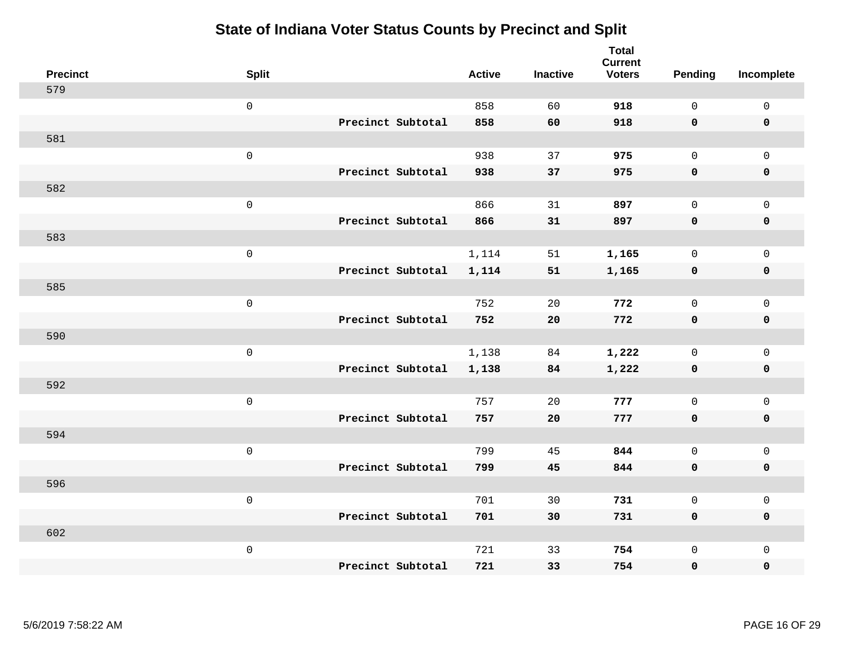| <b>Precinct</b> | <b>Split</b>        |                   | <b>Active</b> | <b>Inactive</b> | <b>Total</b><br><b>Current</b><br><b>Voters</b> | Pending      | Incomplete          |
|-----------------|---------------------|-------------------|---------------|-----------------|-------------------------------------------------|--------------|---------------------|
| 579             |                     |                   |               |                 |                                                 |              |                     |
|                 | $\mathsf{O}\xspace$ |                   | 858           | 60              | 918                                             | $\mathsf{O}$ | $\mathsf 0$         |
|                 |                     | Precinct Subtotal | 858           | 60              | 918                                             | $\mathbf 0$  | $\mathbf 0$         |
| 581             |                     |                   |               |                 |                                                 |              |                     |
|                 | $\mathbf 0$         |                   | 938           | 37              | 975                                             | $\mathbf 0$  | $\mathbf{0}$        |
|                 |                     | Precinct Subtotal | 938           | 37              | 975                                             | $\mathbf 0$  | $\mathbf 0$         |
| 582             |                     |                   |               |                 |                                                 |              |                     |
|                 | $\mathsf{O}\xspace$ |                   | 866           | 31              | 897                                             | $\Omega$     | $\mathbf 0$         |
|                 |                     | Precinct Subtotal | 866           | 31              | 897                                             | $\mathbf 0$  | $\mathbf 0$         |
| 583             |                     |                   |               |                 |                                                 |              |                     |
|                 | $\mathbf 0$         |                   | 1,114         | 51              | 1,165                                           | $\mathsf{O}$ | $\mathbf 0$         |
|                 |                     | Precinct Subtotal | 1,114         | 51              | 1,165                                           | $\mathbf 0$  | $\mathbf 0$         |
| 585             |                     |                   |               |                 |                                                 |              |                     |
|                 | $\mathbf 0$         |                   | 752           | 20              | 772                                             | $\mathbf 0$  | $\mathsf{O}\xspace$ |
|                 |                     | Precinct Subtotal | 752           | 20              | 772                                             | $\mathbf 0$  | $\mathbf 0$         |
| 590             |                     |                   |               |                 |                                                 |              |                     |
|                 | $\mathbf 0$         |                   | 1,138         | 84              | 1,222                                           | $\mathbf 0$  | $\mathbf 0$         |
|                 |                     | Precinct Subtotal | 1,138         | 84              | 1,222                                           | $\mathbf 0$  | $\mathbf 0$         |
| 592             |                     |                   |               |                 |                                                 |              |                     |
|                 | $\mathbf 0$         |                   | 757           | 20              | 777                                             | $\mathbf 0$  | $\mathbf 0$         |
|                 |                     | Precinct Subtotal | 757           | 20              | 777                                             | $\mathbf 0$  | 0                   |
| 594             |                     |                   |               |                 |                                                 |              |                     |
|                 | $\mathbf 0$         |                   | 799           | 45              | 844                                             | $\mathbf 0$  | $\mathbf 0$         |
|                 |                     | Precinct Subtotal | 799           | 45              | 844                                             | $\mathbf 0$  | $\pmb{0}$           |
| 596             |                     |                   |               |                 |                                                 |              |                     |
|                 | $\mathbf 0$         |                   | 701           | 30              | 731                                             | $\mathbf 0$  | $\mathbf 0$         |
|                 |                     | Precinct Subtotal | 701           | 30              | 731                                             | $\mathbf 0$  | $\mathbf 0$         |
| 602             |                     |                   |               |                 |                                                 |              |                     |
|                 | $\mathbf 0$         |                   | 721           | 33              | 754                                             | $\mathsf{O}$ | $\mathbf 0$         |
|                 |                     | Precinct Subtotal | 721           | 33              | 754                                             | 0            | 0                   |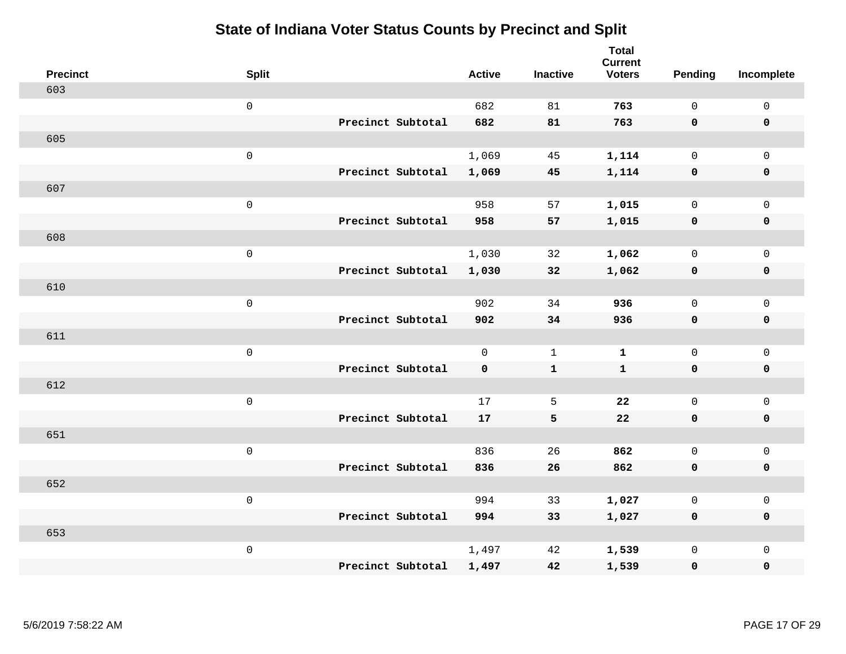| <b>Precinct</b> | <b>Split</b>        |                   | <b>Active</b> | <b>Inactive</b> | <b>Total</b><br><b>Current</b><br><b>Voters</b> | Pending      | Incomplete          |
|-----------------|---------------------|-------------------|---------------|-----------------|-------------------------------------------------|--------------|---------------------|
| 603             |                     |                   |               |                 |                                                 |              |                     |
|                 | $\mathsf{O}\xspace$ |                   | 682           | 81              | 763                                             | $\mathsf{O}$ | $\mathsf 0$         |
|                 |                     | Precinct Subtotal | 682           | 81              | 763                                             | $\mathbf 0$  | $\mathbf 0$         |
| 605             |                     |                   |               |                 |                                                 |              |                     |
|                 | $\mathbf 0$         |                   | 1,069         | 45              | 1,114                                           | $\mathsf{O}$ | $\mathbf 0$         |
|                 |                     | Precinct Subtotal | 1,069         | 45              | 1,114                                           | $\mathbf 0$  | $\mathbf 0$         |
| 607             |                     |                   |               |                 |                                                 |              |                     |
|                 | $\mathsf{O}\xspace$ |                   | 958           | 57              | 1,015                                           | $\mathbf 0$  | $\mathsf{O}\xspace$ |
|                 |                     | Precinct Subtotal | 958           | 57              | 1,015                                           | $\mathbf 0$  | $\mathbf 0$         |
| 608             |                     |                   |               |                 |                                                 |              |                     |
|                 | $\mathbf 0$         |                   | 1,030         | 32              | 1,062                                           | $\mathsf{O}$ | $\mathbf 0$         |
|                 |                     | Precinct Subtotal | 1,030         | 32              | 1,062                                           | $\mathbf 0$  | $\mathbf 0$         |
| 610             |                     |                   |               |                 |                                                 |              |                     |
|                 | $\mathbf 0$         |                   | 902           | 34              | 936                                             | $\mathbf 0$  | $\mathsf{O}\xspace$ |
|                 |                     | Precinct Subtotal | 902           | 34              | 936                                             | 0            | $\mathbf 0$         |
| 611             |                     |                   |               |                 |                                                 |              |                     |
|                 | $\mathbf 0$         |                   | $\mathbf{0}$  | $\mathbf{1}$    | $\mathbf{1}$                                    | $\mathbf 0$  | $\mathsf 0$         |
|                 |                     | Precinct Subtotal | $\mathbf 0$   | ${\bf 1}$       | $\mathbf{1}$                                    | $\mathbf 0$  | $\mathbf 0$         |
| 612             |                     |                   |               |                 |                                                 |              |                     |
|                 | $\mathbf 0$         |                   | 17            | 5               | 22                                              | $\mathsf{O}$ | $\mathbf 0$         |
|                 |                     | Precinct Subtotal | 17            | 5               | ${\bf 22}$                                      | 0            | 0                   |
| 651             |                     |                   |               |                 |                                                 |              |                     |
|                 | $\mathbf 0$         |                   | 836           | 26              | 862                                             | $\mathsf{O}$ | $\mathsf 0$         |
|                 |                     | Precinct Subtotal | 836           | 26              | 862                                             | 0            | $\pmb{0}$           |
| 652             |                     |                   |               |                 |                                                 |              |                     |
|                 | $\mathbf 0$         |                   | 994           | 33              | 1,027                                           | $\mathbf 0$  | $\mathbf 0$         |
|                 |                     | Precinct Subtotal | 994           | 33              | 1,027                                           | $\mathbf 0$  | $\mathbf 0$         |
| 653             |                     |                   |               |                 |                                                 |              |                     |
|                 | $\mathbf 0$         |                   | 1,497         | 42              | 1,539                                           | $\mathsf{O}$ | $\mathbf 0$         |
|                 |                     | Precinct Subtotal | 1,497         | 42              | 1,539                                           | 0            | $\pmb{0}$           |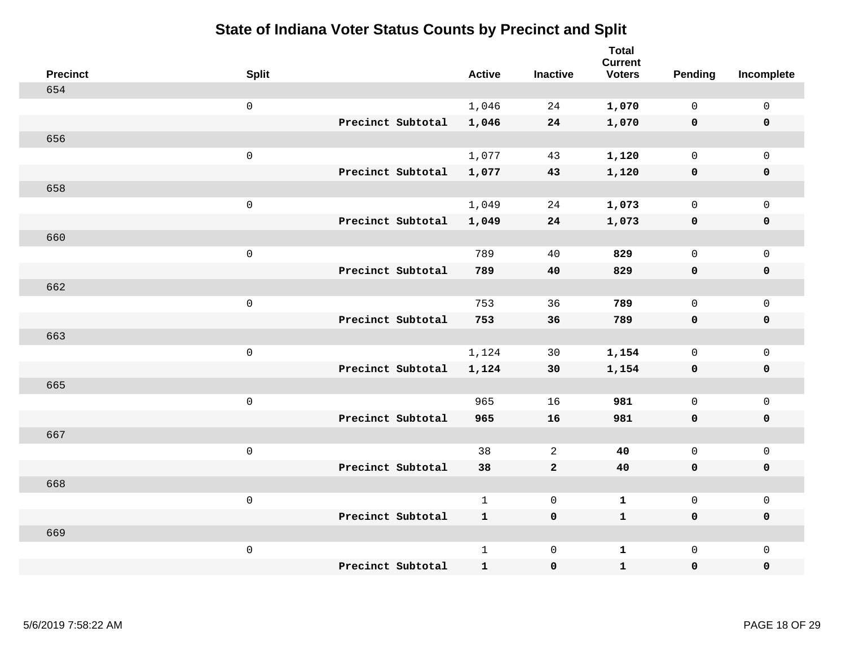| <b>Precinct</b> | <b>Split</b>        | <b>Active</b> | <b>Inactive</b> | <b>Total</b><br><b>Current</b><br><b>Voters</b> | Pending      | Incomplete          |
|-----------------|---------------------|---------------|-----------------|-------------------------------------------------|--------------|---------------------|
| 654             |                     |               |                 |                                                 |              |                     |
|                 | $\mathsf 0$         | 1,046         | 24              | 1,070                                           | $\mathbf 0$  | $\mathsf 0$         |
|                 | Precinct Subtotal   | 1,046         | 24              | 1,070                                           | $\mathbf 0$  | $\pmb{0}$           |
| 656             |                     |               |                 |                                                 |              |                     |
|                 | $\mathsf 0$         | 1,077         | 43              | 1,120                                           | $\mathsf{O}$ | $\mathsf{O}\xspace$ |
|                 | Precinct Subtotal   | 1,077         | 43              | 1,120                                           | $\mathbf 0$  | $\pmb{0}$           |
| 658             |                     |               |                 |                                                 |              |                     |
|                 | $\mathsf 0$         | 1,049         | 24              | 1,073                                           | $\mathbf 0$  | $\mathsf{O}$        |
|                 | Precinct Subtotal   | 1,049         | 24              | 1,073                                           | $\mathbf 0$  | $\pmb{0}$           |
| 660             |                     |               |                 |                                                 |              |                     |
|                 | $\mathsf{O}\xspace$ | 789           | 40              | 829                                             | $\mathbf 0$  | $\mathsf{O}$        |
|                 | Precinct Subtotal   | 789           | 40              | 829                                             | $\mathbf 0$  | $\pmb{0}$           |
| 662             |                     |               |                 |                                                 |              |                     |
|                 | $\mathsf 0$         | 753           | 36              | 789                                             | $\mathsf{O}$ | $\mathsf 0$         |
|                 | Precinct Subtotal   | 753           | 36              | 789                                             | 0            | $\pmb{0}$           |
| 663             |                     |               |                 |                                                 |              |                     |
|                 | $\mathbf 0$         | 1,124         | 30              | 1,154                                           | $\mathsf{O}$ | $\mathsf{O}\xspace$ |
|                 | Precinct Subtotal   | 1,124         | 30              | 1,154                                           | 0            | $\pmb{0}$           |
| 665             |                     |               |                 |                                                 |              |                     |
|                 | $\mathsf 0$         | 965           | 16              | 981                                             | $\mathsf{O}$ | $\mathsf{O}\xspace$ |
|                 | Precinct Subtotal   | 965           | 16              | 981                                             | 0            | 0                   |
| 667             |                     |               |                 |                                                 |              |                     |
|                 | $\mathbf 0$         | 38            | 2               | 40                                              | $\mathsf{O}$ | $\mathsf{O}\xspace$ |
|                 | Precinct Subtotal   | 38            | $\mathbf{2}$    | 40                                              | $\mathbf 0$  | 0                   |
| 668             |                     |               |                 |                                                 |              |                     |
|                 | $\mathsf 0$         | $\mathbf{1}$  | $\mathbf 0$     | $\mathbf{1}$                                    | $\mathsf{O}$ | $\mathsf{O}\xspace$ |
|                 | Precinct Subtotal   | $\mathbf{1}$  | $\pmb{0}$       | $\mathbf{1}$                                    | $\mathbf 0$  | 0                   |
| 669             |                     |               |                 |                                                 |              |                     |
|                 | $\mathbf 0$         | $\mathbf{1}$  | $\mathbf 0$     | $\mathbf{1}$                                    | $\mathbf 0$  | $\mathsf{O}\xspace$ |
|                 | Precinct Subtotal   | $\mathbf{1}$  | $\pmb{0}$       | $\mathbf{1}$                                    | $\pmb{0}$    | 0                   |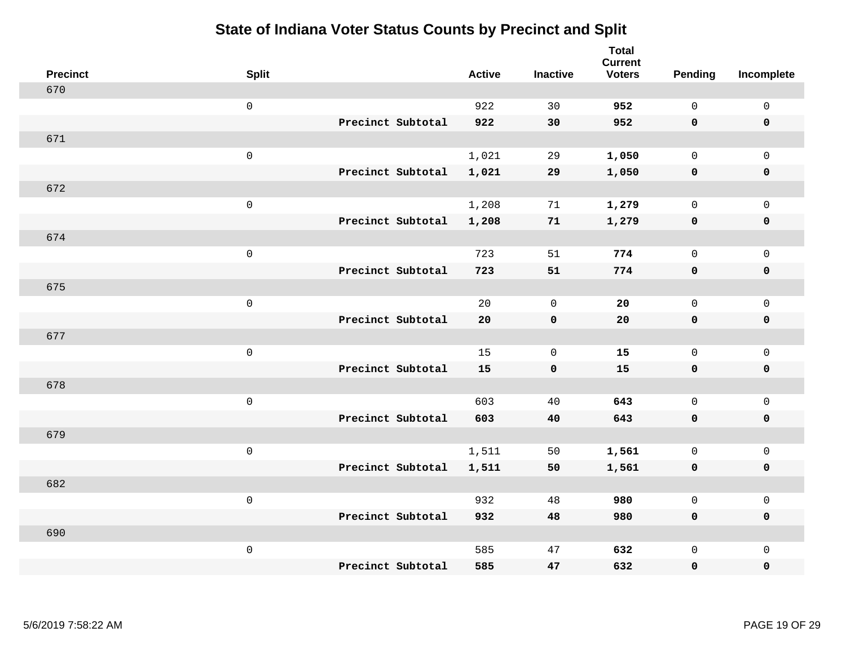| <b>Precinct</b> | <b>Split</b>        |                   | <b>Active</b> | <b>Inactive</b> | <b>Total</b><br><b>Current</b><br><b>Voters</b> | <b>Pending</b> | Incomplete          |
|-----------------|---------------------|-------------------|---------------|-----------------|-------------------------------------------------|----------------|---------------------|
| 670             |                     |                   |               |                 |                                                 |                |                     |
|                 | $\mathsf 0$         |                   | 922           | 30              | 952                                             | $\mathbf 0$    | $\mathsf 0$         |
|                 |                     | Precinct Subtotal | 922           | 30              | 952                                             | $\mathbf 0$    | $\mathbf 0$         |
| 671             |                     |                   |               |                 |                                                 |                |                     |
|                 | $\mathsf{O}$        |                   | 1,021         | 29              | 1,050                                           | $\mathbf 0$    | $\mathsf{O}$        |
|                 |                     | Precinct Subtotal | 1,021         | 29              | 1,050                                           | $\mathbf 0$    | 0                   |
| 672             |                     |                   |               |                 |                                                 |                |                     |
|                 | $\mathsf{O}\xspace$ |                   | 1,208         | 71              | 1,279                                           | $\mathbf 0$    | $\mathsf{O}\xspace$ |
|                 |                     | Precinct Subtotal | 1,208         | 71              | 1,279                                           | $\mathbf 0$    | $\pmb{0}$           |
| 674             |                     |                   |               |                 |                                                 |                |                     |
|                 | $\mathsf{O}\xspace$ |                   | 723           | 51              | 774                                             | $\mathbf 0$    | $\mathsf{O}$        |
|                 |                     | Precinct Subtotal | 723           | 51              | 774                                             | 0              | 0                   |
| 675             |                     |                   |               |                 |                                                 |                |                     |
|                 | $\mathbf 0$         |                   | 20            | $\overline{0}$  | 20                                              | $\mathbf 0$    | $\mathsf{O}\xspace$ |
|                 |                     | Precinct Subtotal | 20            | $\mathbf 0$     | ${\bf 20}$                                      | $\mathbf 0$    | 0                   |
| 677             |                     |                   |               |                 |                                                 |                |                     |
|                 | $\mathsf{O}\xspace$ |                   | 15            | $\mathbf 0$     | 15                                              | $\mathbf 0$    | $\mathsf{O}\xspace$ |
|                 |                     | Precinct Subtotal | 15            | $\mathbf 0$     | 15                                              | 0              | 0                   |
| 678             |                     |                   |               |                 |                                                 |                |                     |
|                 | $\mathbf 0$         |                   | 603           | 40              | 643                                             | $\mathbf 0$    | $\mathsf{O}$        |
|                 |                     | Precinct Subtotal | 603           | 40              | 643                                             | 0              | 0                   |
| 679             |                     |                   |               |                 |                                                 |                |                     |
|                 | $\mathbf 0$         |                   | 1,511         | 50              | 1,561                                           | $\mathsf{O}$   | $\mathsf{O}$        |
|                 |                     | Precinct Subtotal | 1,511         | 50              | 1,561                                           | 0              | 0                   |
| 682             |                     |                   |               |                 |                                                 |                |                     |
|                 | $\mathbf 0$         |                   | 932           | 48              | 980                                             | $\mathbf 0$    | $\mathsf{O}$        |
|                 |                     | Precinct Subtotal | 932           | 48              | 980                                             | 0              | 0                   |
| 690             |                     |                   |               |                 |                                                 |                |                     |
|                 | $\mathbf 0$         |                   | 585           | 47              | 632                                             | $\mathsf{O}$   | $\mathsf{O}$        |
|                 |                     | Precinct Subtotal | 585           | 47              | 632                                             | 0              | 0                   |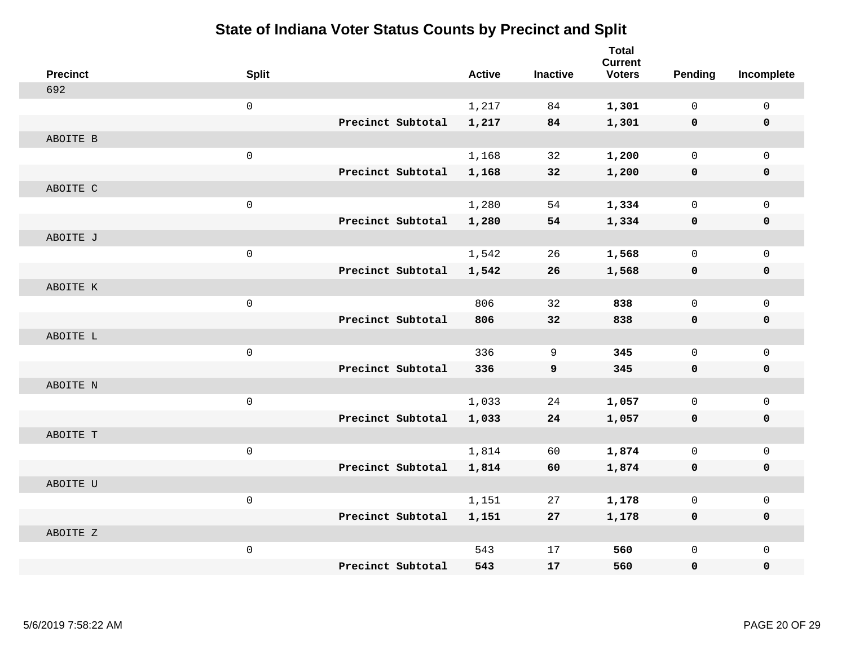| <b>Precinct</b> | <b>Split</b>        |                   | <b>Active</b> | <b>Inactive</b> | <b>Total</b><br><b>Current</b><br><b>Voters</b> | Pending     | Incomplete   |
|-----------------|---------------------|-------------------|---------------|-----------------|-------------------------------------------------|-------------|--------------|
| 692             |                     |                   |               |                 |                                                 |             |              |
|                 | $\mathsf 0$         |                   | 1,217         | 84              | 1,301                                           | $\mathbf 0$ | $\mathsf{O}$ |
|                 |                     | Precinct Subtotal | 1,217         | 84              | 1,301                                           | $\mathbf 0$ | $\mathbf 0$  |
| ABOITE B        |                     |                   |               |                 |                                                 |             |              |
|                 | $\mathsf{O}\xspace$ |                   | 1,168         | 32              | 1,200                                           | $\mathbf 0$ | $\mathbf{0}$ |
|                 |                     | Precinct Subtotal | 1,168         | 32              | 1,200                                           | 0           | 0            |
| ABOITE C        |                     |                   |               |                 |                                                 |             |              |
|                 | $\mathsf{O}\xspace$ |                   | 1,280         | 54              | 1,334                                           | $\mathbf 0$ | $\mathbf 0$  |
|                 |                     | Precinct Subtotal | 1,280         | 54              | 1,334                                           | 0           | 0            |
| ABOITE J        |                     |                   |               |                 |                                                 |             |              |
|                 | $\mathsf 0$         |                   | 1,542         | 26              | 1,568                                           | $\mathbf 0$ | $\mathsf{O}$ |
|                 |                     | Precinct Subtotal | 1,542         | 26              | 1,568                                           | $\mathbf 0$ | 0            |
| ABOITE K        |                     |                   |               |                 |                                                 |             |              |
|                 | $\mathsf{O}\xspace$ |                   | 806           | 32              | 838                                             | $\mathbf 0$ | $\mathsf{O}$ |
|                 |                     | Precinct Subtotal | 806           | 32              | 838                                             | 0           | 0            |
| ABOITE L        |                     |                   |               |                 |                                                 |             |              |
|                 | $\mathbf 0$         |                   | 336           | 9               | 345                                             | $\mathbf 0$ | $\mathsf{O}$ |
|                 |                     | Precinct Subtotal | 336           | 9               | 345                                             | $\mathbf 0$ | 0            |
| ABOITE N        |                     |                   |               |                 |                                                 |             |              |
|                 | $\mathsf 0$         |                   | 1,033         | 24              | 1,057                                           | $\mathbf 0$ | $\mathsf{O}$ |
|                 |                     | Precinct Subtotal | 1,033         | 24              | 1,057                                           | 0           | 0            |
| ABOITE T        |                     |                   |               |                 |                                                 |             |              |
|                 | $\mathsf{O}\xspace$ |                   | 1,814         | 60              | 1,874                                           | $\mathbf 0$ | $\mathsf{O}$ |
|                 |                     | Precinct Subtotal | 1,814         | 60              | 1,874                                           | 0           | 0            |
| ABOITE U        |                     |                   |               |                 |                                                 |             |              |
|                 | $\mathbf 0$         |                   | 1,151         | 27              | 1,178                                           | $\mathbf 0$ | $\mathbf 0$  |
|                 |                     | Precinct Subtotal | 1,151         | 27              | 1,178                                           | 0           | 0            |
| ABOITE Z        |                     |                   |               |                 |                                                 |             |              |
|                 | $\mathsf{O}\xspace$ |                   | 543           | 17              | 560                                             | $\mathbf 0$ | $\mathbf 0$  |
|                 |                     | Precinct Subtotal | 543           | 17              | 560                                             | 0           | $\mathbf 0$  |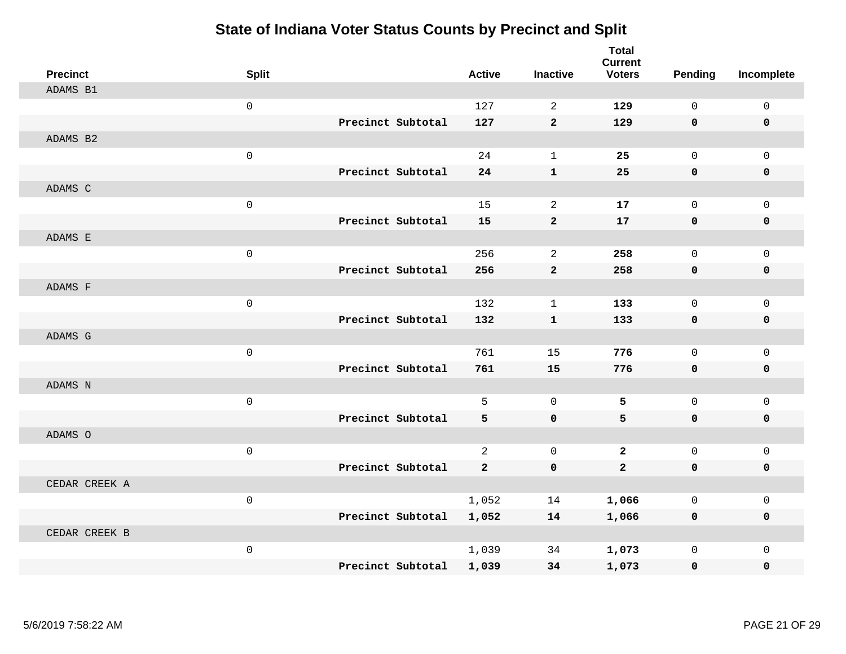| <b>Precinct</b> | <b>Split</b> |                   | <b>Active</b>  | <b>Inactive</b> | <b>Total</b><br><b>Current</b><br><b>Voters</b> | Pending     | Incomplete   |
|-----------------|--------------|-------------------|----------------|-----------------|-------------------------------------------------|-------------|--------------|
| ADAMS B1        |              |                   |                |                 |                                                 |             |              |
|                 | $\mathbf{0}$ |                   | 127            | 2               | 129                                             | $\Omega$    | $\mathbf 0$  |
|                 |              | Precinct Subtotal | 127            | $\mathbf{2}$    | 129                                             | $\mathbf 0$ | $\mathbf 0$  |
| ADAMS B2        |              |                   |                |                 |                                                 |             |              |
|                 | $\mathsf 0$  |                   | 24             | $\mathbf{1}$    | 25                                              | $\mathbf 0$ | $\mathbf{0}$ |
|                 |              | Precinct Subtotal | 24             | $\mathbf{1}$    | 25                                              | $\mathbf 0$ | 0            |
| ADAMS C         |              |                   |                |                 |                                                 |             |              |
|                 | $\mathsf 0$  |                   | 15             | 2               | 17                                              | $\mathbf 0$ | $\mathbf 0$  |
|                 |              | Precinct Subtotal | 15             | $\overline{2}$  | 17                                              | $\mathbf 0$ | $\mathbf 0$  |
| ADAMS E         |              |                   |                |                 |                                                 |             |              |
|                 | $\mathsf 0$  |                   | 256            | 2               | 258                                             | $\mathbf 0$ | $\mathbf 0$  |
|                 |              | Precinct Subtotal | 256            | $\overline{a}$  | 258                                             | $\mathbf 0$ | 0            |
| ADAMS F         |              |                   |                |                 |                                                 |             |              |
|                 | $\mathbf 0$  |                   | 132            | $\mathbf{1}$    | 133                                             | $\mathbf 0$ | $\mathbf 0$  |
|                 |              | Precinct Subtotal | 132            | $\mathbf{1}$    | 133                                             | $\mathbf 0$ | 0            |
| ADAMS G         |              |                   |                |                 |                                                 |             |              |
|                 | $\mathsf 0$  |                   | 761            | 15              | 776                                             | $\mathbf 0$ | $\mathbf 0$  |
|                 |              | Precinct Subtotal | 761            | 15              | 776                                             | $\mathbf 0$ | 0            |
| ADAMS N         |              |                   |                |                 |                                                 |             |              |
|                 | $\mathbf 0$  |                   | 5              | $\mathbf 0$     | 5                                               | $\mathbf 0$ | $\mathsf 0$  |
|                 |              | Precinct Subtotal | 5              | $\mathbf 0$     | 5                                               | $\mathbf 0$ | 0            |
| ADAMS O         |              |                   |                |                 |                                                 |             |              |
|                 | $\mathsf 0$  |                   | $\overline{a}$ | $\mathbf 0$     | $\mathbf{2}$                                    | $\mathbf 0$ | $\mathbf 0$  |
|                 |              | Precinct Subtotal | $\overline{2}$ | $\mathbf 0$     | $\overline{2}$                                  | $\mathbf 0$ | 0            |
| CEDAR CREEK A   |              |                   |                |                 |                                                 |             |              |
|                 | $\mathbf 0$  |                   | 1,052          | 14              | 1,066                                           | $\mathbf 0$ | $\mathbf 0$  |
|                 |              | Precinct Subtotal | 1,052          | 14              | 1,066                                           | 0           | 0            |
| CEDAR CREEK B   |              |                   |                |                 |                                                 |             |              |
|                 | $\mathsf 0$  |                   | 1,039          | 34              | 1,073                                           | $\mathbf 0$ | $\mathbf 0$  |
|                 |              | Precinct Subtotal | 1,039          | 34              | 1,073                                           | $\mathbf 0$ | 0            |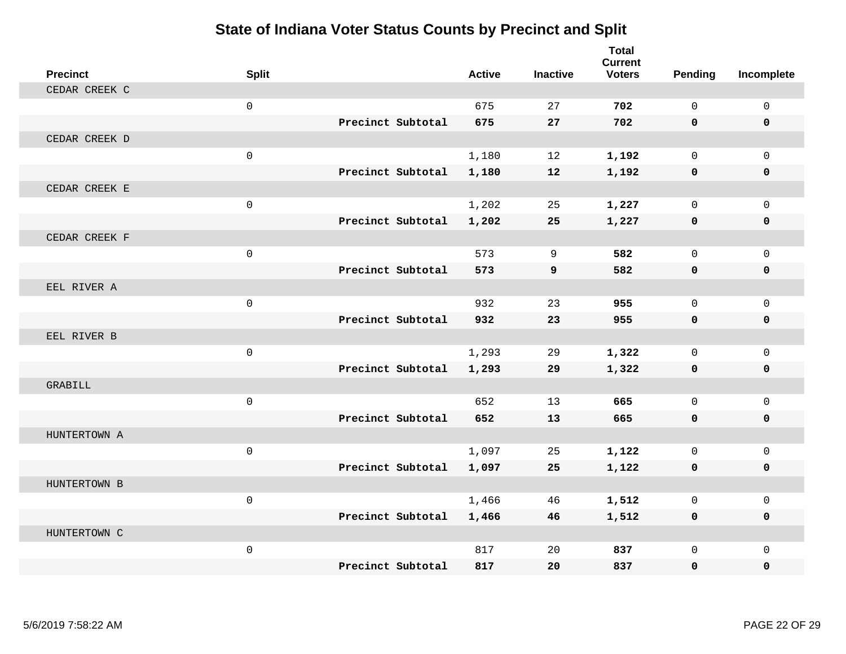| <b>Precinct</b> | <b>Split</b> |                   | <b>Active</b> | <b>Inactive</b> | <b>Total</b><br><b>Current</b><br><b>Voters</b> | Pending      | Incomplete   |
|-----------------|--------------|-------------------|---------------|-----------------|-------------------------------------------------|--------------|--------------|
| CEDAR CREEK C   |              |                   |               |                 |                                                 |              |              |
|                 | $\mathbf 0$  |                   | 675           | 27              | 702                                             | $\Omega$     | $\Omega$     |
|                 |              | Precinct Subtotal | 675           | 27              | 702                                             | $\mathbf 0$  | 0            |
| CEDAR CREEK D   |              |                   |               |                 |                                                 |              |              |
|                 | $\mathsf{O}$ |                   | 1,180         | 12              | 1,192                                           | $\mathbf 0$  | $\Omega$     |
|                 |              | Precinct Subtotal | 1,180         | 12              | 1,192                                           | 0            | 0            |
| CEDAR CREEK E   |              |                   |               |                 |                                                 |              |              |
|                 | $\mathsf 0$  |                   | 1,202         | 25              | 1,227                                           | $\Omega$     | $\Omega$     |
|                 |              | Precinct Subtotal | 1,202         | 25              | 1,227                                           | 0            | 0            |
| CEDAR CREEK F   |              |                   |               |                 |                                                 |              |              |
|                 | $\mathsf{O}$ |                   | 573           | 9               | 582                                             | $\mathbf 0$  | $\mathbf{0}$ |
|                 |              | Precinct Subtotal | 573           | 9               | 582                                             | $\mathbf 0$  | 0            |
| EEL RIVER A     |              |                   |               |                 |                                                 |              |              |
|                 | $\mathbf 0$  |                   | 932           | 23              | 955                                             | $\mathbf 0$  | $\mathbf{0}$ |
|                 |              | Precinct Subtotal | 932           | 23              | 955                                             | $\mathbf 0$  | 0            |
| EEL RIVER B     |              |                   |               |                 |                                                 |              |              |
|                 | $\mathsf 0$  |                   | 1,293         | 29              | 1,322                                           | $\mathbf 0$  | $\mathbf 0$  |
|                 |              | Precinct Subtotal | 1,293         | 29              | 1,322                                           | 0            | 0            |
| GRABILL         |              |                   |               |                 |                                                 |              |              |
|                 | $\mathbf 0$  |                   | 652           | 13              | 665                                             | $\mathbf 0$  | $\mathbf 0$  |
|                 |              | Precinct Subtotal | 652           | 13              | 665                                             | $\mathbf{0}$ | 0            |
| HUNTERTOWN A    |              |                   |               |                 |                                                 |              |              |
|                 | $\mathsf 0$  |                   | 1,097         | 25              | 1,122                                           | $\mathbf 0$  | $\mathbf{0}$ |
|                 |              | Precinct Subtotal | 1,097         | 25              | 1,122                                           | 0            | 0            |
| HUNTERTOWN B    |              |                   |               |                 |                                                 |              |              |
|                 | $\mathbf 0$  |                   | 1,466         | 46              | 1,512                                           | $\mathbf 0$  | $\mathbf 0$  |
|                 |              | Precinct Subtotal | 1,466         | 46              | 1,512                                           | 0            | 0            |
| HUNTERTOWN C    |              |                   |               |                 |                                                 |              |              |
|                 | $\mathbf 0$  |                   | 817           | 20              | 837                                             | $\mathbf 0$  | $\mathbf{0}$ |
|                 |              | Precinct Subtotal | 817           | 20              | 837                                             | 0            | $\Omega$     |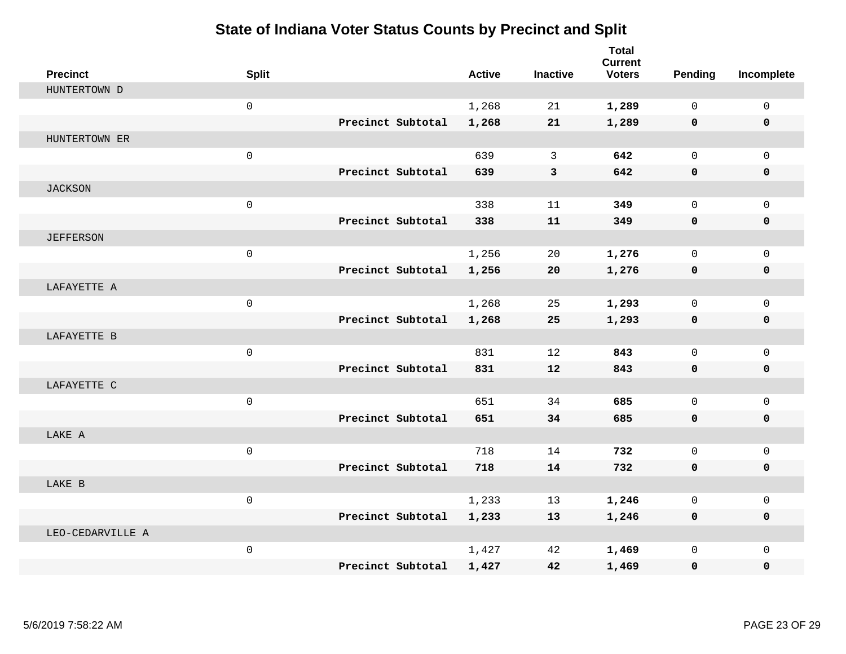| <b>Precinct</b>  | <b>Split</b>        |                   | <b>Active</b> | <b>Inactive</b> | <b>Total</b><br><b>Current</b><br><b>Voters</b> | Pending      | Incomplete   |
|------------------|---------------------|-------------------|---------------|-----------------|-------------------------------------------------|--------------|--------------|
| HUNTERTOWN D     |                     |                   |               |                 |                                                 |              |              |
|                  | $\mathbf 0$         |                   | 1,268         | 21              | 1,289                                           | $\Omega$     | $\mathbf 0$  |
|                  |                     | Precinct Subtotal | 1,268         | 21              | 1,289                                           | 0            | $\mathbf 0$  |
| HUNTERTOWN ER    |                     |                   |               |                 |                                                 |              |              |
|                  | $\mathsf{O}\xspace$ |                   | 639           | 3               | 642                                             | $\mathbf 0$  | $\mathbf{0}$ |
|                  |                     | Precinct Subtotal | 639           | 3               | 642                                             | 0            | 0            |
| <b>JACKSON</b>   |                     |                   |               |                 |                                                 |              |              |
|                  | $\mathsf{O}\xspace$ |                   | 338           | 11              | 349                                             | $\Omega$     | $\mathbf 0$  |
|                  |                     | Precinct Subtotal | 338           | 11              | 349                                             | 0            | 0            |
| <b>JEFFERSON</b> |                     |                   |               |                 |                                                 |              |              |
|                  | $\mathbf 0$         |                   | 1,256         | 20              | 1,276                                           | $\Omega$     | $\mathbf{0}$ |
|                  |                     | Precinct Subtotal | 1,256         | 20              | 1,276                                           | 0            | 0            |
| LAFAYETTE A      |                     |                   |               |                 |                                                 |              |              |
|                  | $\mathbf 0$         |                   | 1,268         | 25              | 1,293                                           | $\Omega$     | $\mathbf 0$  |
|                  |                     | Precinct Subtotal | 1,268         | 25              | 1,293                                           | 0            | 0            |
| LAFAYETTE B      |                     |                   |               |                 |                                                 |              |              |
|                  | $\mathsf{O}\xspace$ |                   | 831           | 12              | 843                                             | $\mathbf 0$  | $\mathbf{0}$ |
|                  |                     | Precinct Subtotal | 831           | 12              | 843                                             | 0            | 0            |
| LAFAYETTE C      |                     |                   |               |                 |                                                 |              |              |
|                  | $\mathsf{O}$        |                   | 651           | 34              | 685                                             | $\mathbf 0$  | $\mathbf 0$  |
|                  |                     | Precinct Subtotal | 651           | 34              | 685                                             | 0            | 0            |
| LAKE A           |                     |                   |               |                 |                                                 |              |              |
|                  | $\mathbf 0$         |                   | 718           | 14              | 732                                             | 0            | $\mathbf 0$  |
|                  |                     | Precinct Subtotal | 718           | 14              | 732                                             | 0            | 0            |
| LAKE B           |                     |                   |               |                 |                                                 |              |              |
|                  | $\mathbf 0$         |                   | 1,233         | 13              | 1,246                                           | 0            | 0            |
|                  |                     | Precinct Subtotal | 1,233         | 13              | 1,246                                           | 0            | 0            |
| LEO-CEDARVILLE A |                     |                   |               |                 |                                                 |              |              |
|                  | $\mathsf{O}\xspace$ |                   | 1,427         | 42              | 1,469                                           | $\mathbf{0}$ | $\mathbf 0$  |
|                  |                     | Precinct Subtotal | 1,427         | 42              | 1,469                                           | 0            | 0            |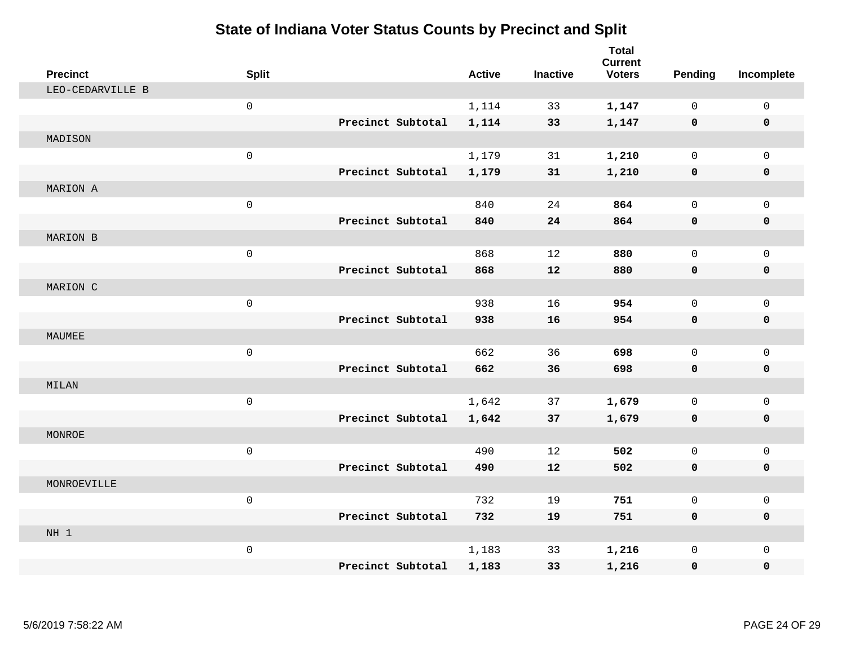| <b>Precinct</b>  | <b>Split</b>        |                   | <b>Active</b> | <b>Inactive</b> | <b>Total</b><br><b>Current</b><br><b>Voters</b> | <b>Pending</b> | Incomplete   |
|------------------|---------------------|-------------------|---------------|-----------------|-------------------------------------------------|----------------|--------------|
| LEO-CEDARVILLE B |                     |                   |               |                 |                                                 |                |              |
|                  | $\mathbf 0$         |                   | 1,114         | 33              | 1,147                                           | $\Omega$       | 0            |
|                  |                     | Precinct Subtotal | 1,114         | 33              | 1,147                                           | 0              | $\mathbf 0$  |
| MADISON          |                     |                   |               |                 |                                                 |                |              |
|                  | $\mathsf{O}\xspace$ |                   | 1,179         | 31              | 1,210                                           | $\mathbf 0$    | $\mathsf{O}$ |
|                  |                     | Precinct Subtotal | 1,179         | 31              | 1,210                                           | $\mathbf 0$    | 0            |
| MARION A         |                     |                   |               |                 |                                                 |                |              |
|                  | $\mathsf{O}\xspace$ |                   | 840           | 24              | 864                                             | $\mathbf 0$    | $\mathsf{O}$ |
|                  |                     | Precinct Subtotal | 840           | 24              | 864                                             | 0              | 0            |
| MARION B         |                     |                   |               |                 |                                                 |                |              |
|                  | $\mathbf 0$         |                   | 868           | 12              | 880                                             | $\mathbf 0$    | $\mathsf{O}$ |
|                  |                     | Precinct Subtotal | 868           | 12              | 880                                             | $\mathbf 0$    | 0            |
| MARION C         |                     |                   |               |                 |                                                 |                |              |
|                  | $\mathsf 0$         |                   | 938           | 16              | 954                                             | $\Omega$       | $\mathbf 0$  |
|                  |                     | Precinct Subtotal | 938           | 16              | 954                                             | 0              | 0            |
| MAUMEE           |                     |                   |               |                 |                                                 |                |              |
|                  | $\mathsf{O}\xspace$ |                   | 662           | 36              | 698                                             | $\mathbf 0$    | $\mathsf{O}$ |
|                  |                     | Precinct Subtotal | 662           | 36              | 698                                             | $\mathbf 0$    | 0            |
| MILAN            |                     |                   |               |                 |                                                 |                |              |
|                  | $\mathsf 0$         |                   | 1,642         | 37              | 1,679                                           | $\mathbf 0$    | $\mathsf{O}$ |
|                  |                     | Precinct Subtotal | 1,642         | 37              | 1,679                                           | 0              | 0            |
| MONROE           |                     |                   |               |                 |                                                 |                |              |
|                  | $\mathbf 0$         |                   | 490           | 12              | 502                                             | $\mathbf 0$    | $\mathsf{O}$ |
|                  |                     | Precinct Subtotal | 490           | 12              | 502                                             | 0              | 0            |
| MONROEVILLE      |                     |                   |               |                 |                                                 |                |              |
|                  | $\mathbf 0$         |                   | 732           | 19              | 751                                             | $\mathbf 0$    | $\mathbf 0$  |
|                  |                     | Precinct Subtotal | 732           | 19              | 751                                             | 0              | 0            |
| NH <sub>1</sub>  |                     |                   |               |                 |                                                 |                |              |
|                  | $\mathsf 0$         |                   | 1,183         | 33              | 1,216                                           | $\mathbf 0$    | $\mathbf 0$  |
|                  |                     | Precinct Subtotal | 1,183         | 33              | 1,216                                           | 0              | $\mathbf 0$  |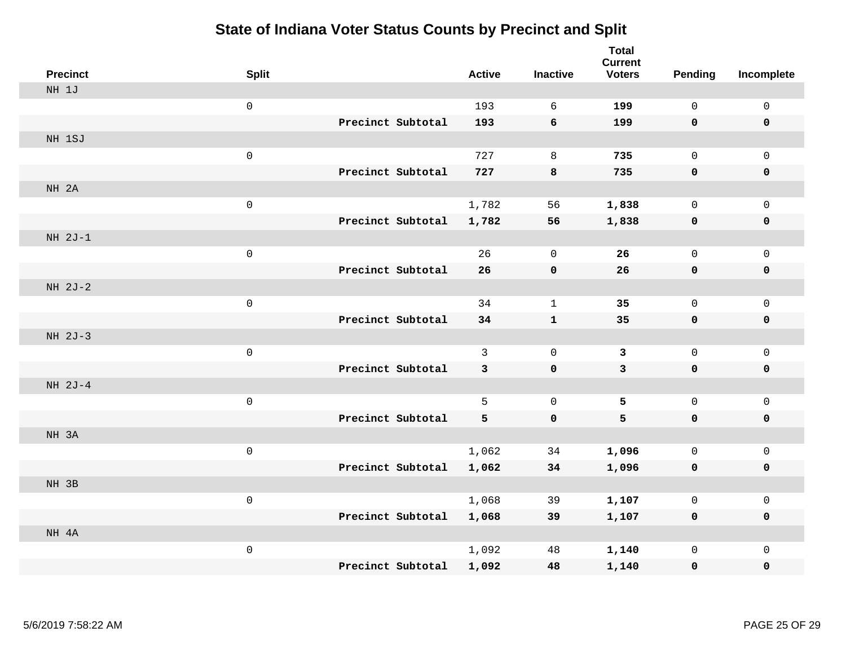| <b>Precinct</b> | <b>Split</b>        |                   |                   | <b>Active</b> | <b>Inactive</b> | <b>Total</b><br><b>Current</b><br><b>Voters</b> | <b>Pending</b> | Incomplete   |
|-----------------|---------------------|-------------------|-------------------|---------------|-----------------|-------------------------------------------------|----------------|--------------|
| NH 1J           |                     |                   |                   |               |                 |                                                 |                |              |
|                 | $\mathbf 0$         |                   |                   | 193           | 6               | 199                                             | 0              | 0            |
|                 |                     |                   | Precinct Subtotal | 193           | 6               | 199                                             | $\mathbf 0$    | $\mathbf 0$  |
| NH 1SJ          |                     |                   |                   |               |                 |                                                 |                |              |
|                 | $\mathsf{O}\xspace$ |                   |                   | 727           | 8               | 735                                             | 0              | $\mathbf 0$  |
|                 |                     |                   | Precinct Subtotal | 727           | 8               | 735                                             | $\mathbf 0$    | $\pmb{0}$    |
| NH 2A           |                     |                   |                   |               |                 |                                                 |                |              |
|                 | $\mathsf{O}\xspace$ |                   |                   | 1,782         | 56              | 1,838                                           | 0              | $\mathsf{O}$ |
|                 |                     |                   | Precinct Subtotal | 1,782         | 56              | 1,838                                           | 0              | $\mathbf 0$  |
| NH 2J-1         |                     |                   |                   |               |                 |                                                 |                |              |
|                 | $\mathsf{O}\xspace$ |                   |                   | 26            | $\mathbf 0$     | 26                                              | 0              | $\mathbf 0$  |
|                 |                     |                   | Precinct Subtotal | 26            | $\pmb{0}$       | 26                                              | $\mathbf 0$    | $\mathbf 0$  |
| NH 2J-2         |                     |                   |                   |               |                 |                                                 |                |              |
|                 | $\mathsf{O}\xspace$ |                   |                   | 34            | $\mathbf{1}$    | 35                                              | 0              | $\mathbf 0$  |
|                 |                     | Precinct Subtotal |                   | 34            | $\mathbf{1}$    | 35                                              | 0              | $\mathbf 0$  |
| NH 2J-3         |                     |                   |                   |               |                 |                                                 |                |              |
|                 | $\mathsf{O}\xspace$ |                   |                   | $\mathsf{3}$  | $\mathbf 0$     | $\overline{3}$                                  | 0              | $\mathbf 0$  |
|                 |                     | Precinct Subtotal |                   | 3             | $\mathbf 0$     | $\mathbf{3}$                                    | $\mathbf 0$    | $\mathbf 0$  |
| NH 2J-4         |                     |                   |                   |               |                 |                                                 |                |              |
|                 | $\mathbf 0$         |                   |                   | 5             | $\mathbf 0$     | 5                                               | 0              | $\mathbf 0$  |
|                 |                     | Precinct Subtotal |                   | 5             | $\mathbf 0$     | 5                                               | $\mathbf 0$    | $\mathbf 0$  |
| NH 3A           |                     |                   |                   |               |                 |                                                 |                |              |
|                 | $\mathsf{O}\xspace$ |                   |                   | 1,062         | 34              | 1,096                                           | 0              | $\mathsf{O}$ |
|                 |                     |                   | Precinct Subtotal | 1,062         | 34              | 1,096                                           | 0              | 0            |
| NH 3B           |                     |                   |                   |               |                 |                                                 |                |              |
|                 | $\mathsf{O}\xspace$ |                   |                   | 1,068         | 39              | 1,107                                           | 0              | $\mathsf{O}$ |
|                 |                     |                   | Precinct Subtotal | 1,068         | 39              | 1,107                                           | $\mathbf 0$    | 0            |
| NH 4A           |                     |                   |                   |               |                 |                                                 |                |              |
|                 | $\mathsf{O}\xspace$ |                   |                   | 1,092         | 48              | 1,140                                           | 0              | $\mathsf{O}$ |
|                 |                     |                   | Precinct Subtotal | 1,092         | 48              | 1,140                                           | 0              | 0            |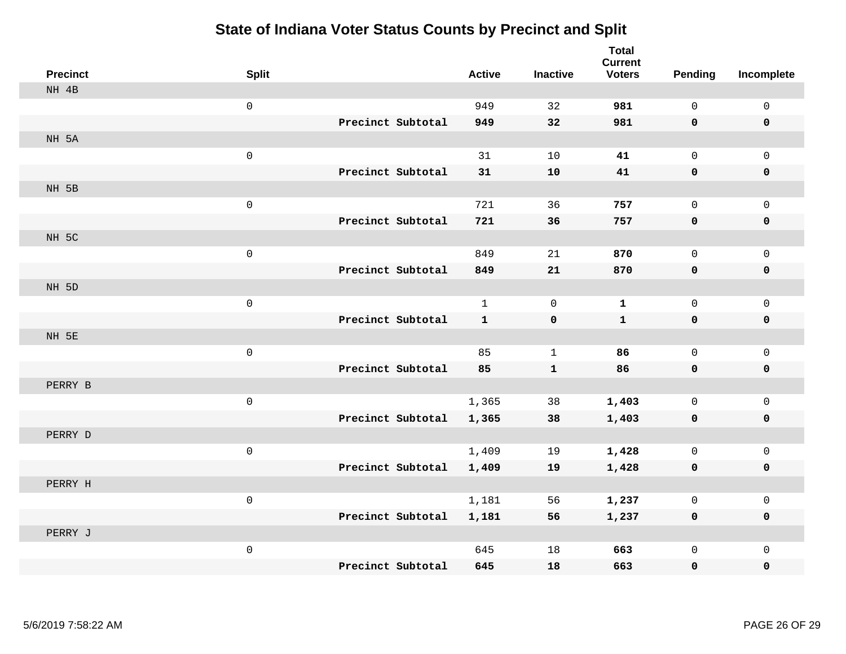| <b>Precinct</b> | <b>Split</b>        |                   | <b>Active</b> | <b>Inactive</b> | <b>Total</b><br><b>Current</b><br><b>Voters</b> | Pending      | Incomplete   |
|-----------------|---------------------|-------------------|---------------|-----------------|-------------------------------------------------|--------------|--------------|
| NH 4B           |                     |                   |               |                 |                                                 |              |              |
|                 | $\mathsf{O}\xspace$ |                   | 949           | 32              | 981                                             | $\mathbf 0$  | $\mathbf 0$  |
|                 |                     | Precinct Subtotal | 949           | 32              | 981                                             | $\mathbf 0$  | $\mathbf 0$  |
| NH 5A           |                     |                   |               |                 |                                                 |              |              |
|                 | $\mathsf{O}\xspace$ |                   | 31            | $10$            | 41                                              | $\mathsf{O}$ | $\mathbf 0$  |
|                 |                     | Precinct Subtotal | 31            | 10              | 41                                              | $\mathbf 0$  | $\mathbf 0$  |
| NH 5B           |                     |                   |               |                 |                                                 |              |              |
|                 | $\mathsf{O}\xspace$ |                   | 721           | 36              | 757                                             | $\mathbf 0$  | $\mathbf 0$  |
|                 |                     | Precinct Subtotal | 721           | 36              | 757                                             | 0            | $\mathbf 0$  |
| NH 5C           |                     |                   |               |                 |                                                 |              |              |
|                 | $\mathsf{O}\xspace$ |                   | 849           | 21              | 870                                             | 0            | $\mathbf 0$  |
|                 |                     | Precinct Subtotal | 849           | 21              | 870                                             | 0            | $\mathbf 0$  |
| NH 5D           |                     |                   |               |                 |                                                 |              |              |
|                 | $\mathsf{O}\xspace$ |                   | $\mathbf{1}$  | $\Omega$        | $\mathbf{1}$                                    | 0            | $\mathbf 0$  |
|                 |                     | Precinct Subtotal | $\mathbf{1}$  | $\mathbf 0$     | $\mathbf{1}$                                    | $\mathbf 0$  | $\mathbf 0$  |
| NH 5E           |                     |                   |               |                 |                                                 |              |              |
|                 | $\mathsf{O}\xspace$ |                   | 85            | $\mathbf{1}$    | 86                                              | 0            | $\mathsf{O}$ |
|                 |                     | Precinct Subtotal | 85            | ${\bf 1}$       | 86                                              | $\mathbf 0$  | $\mathbf 0$  |
| PERRY B         |                     |                   |               |                 |                                                 |              |              |
|                 | $\mathsf{O}\xspace$ |                   | 1,365         | 38              | 1,403                                           | 0            | $\mathbf 0$  |
|                 |                     | Precinct Subtotal | 1,365         | 38              | 1,403                                           | 0            | $\mathbf 0$  |
| PERRY D         |                     |                   |               |                 |                                                 |              |              |
|                 | $\mathsf{O}\xspace$ |                   | 1,409         | 19              | 1,428                                           | 0            | $\mathbf 0$  |
|                 |                     | Precinct Subtotal | 1,409         | 19              | 1,428                                           | 0            | $\mathbf 0$  |
| PERRY H         |                     |                   |               |                 |                                                 |              |              |
|                 | $\mathsf{O}\xspace$ |                   | 1,181         | 56              | 1,237                                           | 0            | $\mathsf{O}$ |
|                 |                     | Precinct Subtotal | 1,181         | 56              | 1,237                                           | 0            | 0            |
| PERRY J         |                     |                   |               |                 |                                                 |              |              |
|                 | $\mathsf{O}\xspace$ |                   | 645           | 18              | 663                                             | 0            | $\mathbf 0$  |
|                 |                     | Precinct Subtotal | 645           | 18              | 663                                             | 0            | 0            |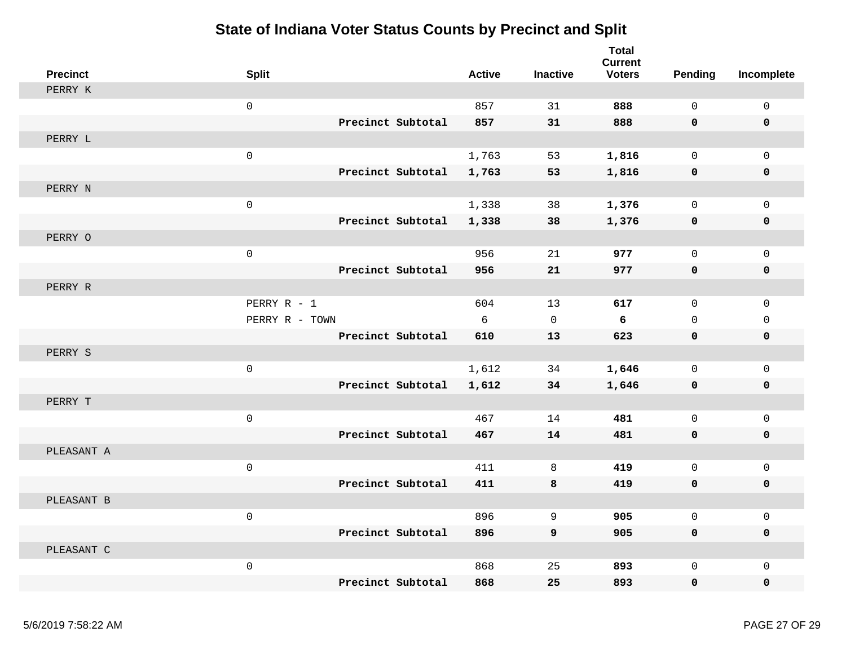| <b>Precinct</b> | <b>Split</b>      | <b>Active</b> | <b>Inactive</b> | <b>Total</b><br><b>Current</b><br><b>Voters</b> | Pending      | Incomplete  |
|-----------------|-------------------|---------------|-----------------|-------------------------------------------------|--------------|-------------|
| PERRY K         |                   |               |                 |                                                 |              |             |
|                 | $\mathbf 0$       | 857           | 31              | 888                                             | $\Omega$     | $\mathbf 0$ |
|                 | Precinct Subtotal | 857           | 31              | 888                                             | $\mathbf 0$  | 0           |
| PERRY L         |                   |               |                 |                                                 |              |             |
|                 | $\mathbf 0$       | 1,763         | 53              | 1,816                                           | $\mathbf 0$  | $\mathbf 0$ |
|                 | Precinct Subtotal | 1,763         | 53              | 1,816                                           | 0            | 0           |
| PERRY N         |                   |               |                 |                                                 |              |             |
|                 | $\mathsf 0$       | 1,338         | 38              | 1,376                                           | $\mathsf{O}$ | $\mathsf 0$ |
|                 | Precinct Subtotal | 1,338         | 38              | 1,376                                           | $\mathbf 0$  | $\pmb{0}$   |
| PERRY O         |                   |               |                 |                                                 |              |             |
|                 | $\mathbf 0$       | 956           | 21              | 977                                             | $\mathbf 0$  | 0           |
|                 | Precinct Subtotal | 956           | 21              | 977                                             | $\mathbf 0$  | $\pmb{0}$   |
| PERRY R         |                   |               |                 |                                                 |              |             |
|                 | PERRY R - 1       | 604           | 13              | 617                                             | $\Omega$     | $\mathbf 0$ |
|                 | PERRY R - TOWN    | 6             | $\mathbf 0$     | 6                                               | $\mathbf{0}$ | $\mathbf 0$ |
|                 | Precinct Subtotal | 610           | 13              | 623                                             | $\mathbf 0$  | $\mathbf 0$ |
| PERRY S         |                   |               |                 |                                                 |              |             |
|                 | $\mathsf 0$       | 1,612         | 34              | 1,646                                           | $\mathbf 0$  | 0           |
|                 | Precinct Subtotal | 1,612         | 34              | 1,646                                           | 0            | 0           |
| PERRY T         |                   |               |                 |                                                 |              |             |
|                 | $\mathbf 0$       | 467           | 14              | 481                                             | $\mathbf 0$  | $\mathbf 0$ |
|                 | Precinct Subtotal | 467           | 14              | 481                                             | $\mathbf 0$  | 0           |
| PLEASANT A      |                   |               |                 |                                                 |              |             |
|                 | $\mathsf 0$       | 411           | 8               | 419                                             | $\mathbf 0$  | $\mathbf 0$ |
|                 | Precinct Subtotal | 411           | 8               | 419                                             | 0            | 0           |
| PLEASANT B      |                   |               |                 |                                                 |              |             |
|                 | $\mathbf 0$       | 896           | 9               | 905                                             | $\mathbf 0$  | $\mathsf 0$ |
|                 | Precinct Subtotal | 896           | 9               | 905                                             | $\mathbf 0$  | $\mathbf 0$ |
| PLEASANT C      |                   |               |                 |                                                 |              |             |
|                 | $\mathsf 0$       | 868           | 25              | 893                                             | $\mathsf{O}$ | $\mathsf 0$ |
|                 | Precinct Subtotal | 868           | 25              | 893                                             | $\mathbf 0$  | 0           |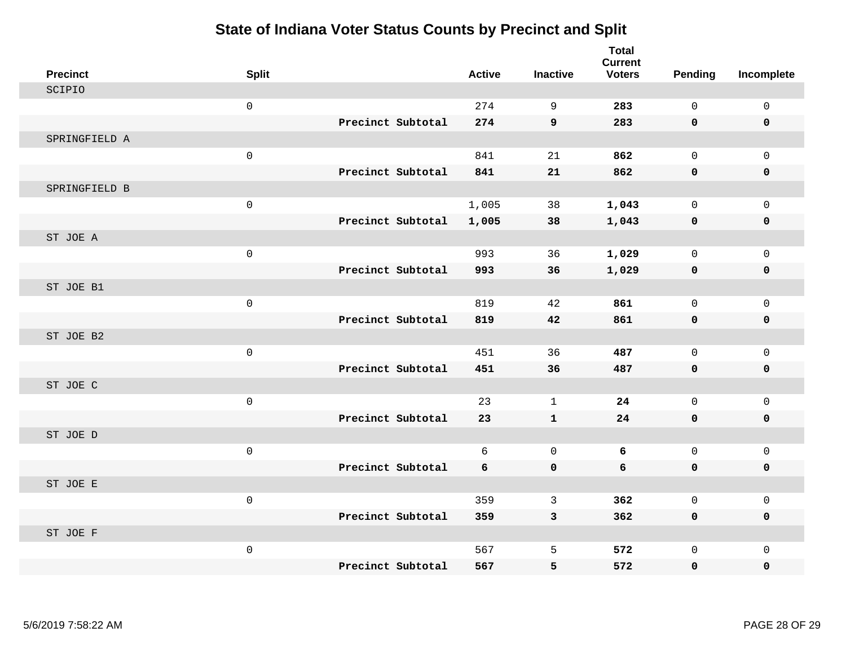| <b>Precinct</b> | <b>Split</b>        |                   | <b>Active</b> | <b>Inactive</b> | <b>Total</b><br><b>Current</b><br><b>Voters</b> | <b>Pending</b> | Incomplete  |
|-----------------|---------------------|-------------------|---------------|-----------------|-------------------------------------------------|----------------|-------------|
| SCIPIO          |                     |                   |               |                 |                                                 |                |             |
|                 | $\mathsf{O}\xspace$ |                   | 274           | 9               | 283                                             | $\mathsf{O}$   | $\mathsf 0$ |
|                 |                     | Precinct Subtotal | 274           | $\overline{9}$  | 283                                             | $\mathbf 0$    | $\mathbf 0$ |
| SPRINGFIELD A   |                     |                   |               |                 |                                                 |                |             |
|                 | $\mathsf{O}\xspace$ |                   | 841           | 21              | 862                                             | $\mathbf{0}$   | $\mathbf 0$ |
|                 |                     | Precinct Subtotal | 841           | 21              | 862                                             | 0              | 0           |
| SPRINGFIELD B   |                     |                   |               |                 |                                                 |                |             |
|                 | $\mathsf{O}\xspace$ |                   | 1,005         | 38              | 1,043                                           | $\mathbf{0}$   | $\mathbf 0$ |
|                 |                     | Precinct Subtotal | 1,005         | 38              | 1,043                                           | 0              | $\mathbf 0$ |
| ST JOE A        |                     |                   |               |                 |                                                 |                |             |
|                 | $\mathsf{O}\xspace$ |                   | 993           | 36              | 1,029                                           | $\mathbf 0$    | $\mathbf 0$ |
|                 |                     | Precinct Subtotal | 993           | 36              | 1,029                                           | 0              | 0           |
| ST JOE B1       |                     |                   |               |                 |                                                 |                |             |
|                 | $\mathsf{O}\xspace$ |                   | 819           | 42              | 861                                             | $\mathbf{0}$   | $\mathbf 0$ |
|                 |                     | Precinct Subtotal | 819           | 42              | 861                                             | 0              | $\mathbf 0$ |
| ST JOE B2       |                     |                   |               |                 |                                                 |                |             |
|                 | $\mathsf{O}\xspace$ |                   | 451           | 36              | 487                                             | $\mathbf 0$    | $\mathbf 0$ |
|                 |                     | Precinct Subtotal | 451           | 36              | 487                                             | $\mathbf 0$    | 0           |
| ST JOE C        |                     |                   |               |                 |                                                 |                |             |
|                 | $\mathsf{O}\xspace$ |                   | 23            | $\mathbf 1$     | 24                                              | 0              | $\mathsf 0$ |
|                 |                     | Precinct Subtotal | 23            | $\mathbf{1}$    | 24                                              | $\mathbf 0$    | 0           |
| ST JOE D        |                     |                   |               |                 |                                                 |                |             |
|                 | $\mathsf{O}\xspace$ |                   | 6             | $\mathbf 0$     | 6                                               | $\mathbf{0}$   | $\mathbf 0$ |
|                 |                     | Precinct Subtotal | 6             | $\mathbf 0$     | 6                                               | 0              | 0           |
| ST JOE E        |                     |                   |               |                 |                                                 |                |             |
|                 | $\mathbf 0$         |                   | 359           | 3               | 362                                             | $\mathbf 0$    | $\mathbf 0$ |
|                 |                     | Precinct Subtotal | 359           | $\mathbf{3}$    | 362                                             | $\mathbf 0$    | 0           |
| ST JOE F        |                     |                   |               |                 |                                                 |                |             |
|                 | $\mathsf{O}\xspace$ |                   | 567           | 5               | 572                                             | $\mathsf{O}$   | $\mathbf 0$ |
|                 |                     | Precinct Subtotal | 567           | 5               | 572                                             | 0              | 0           |